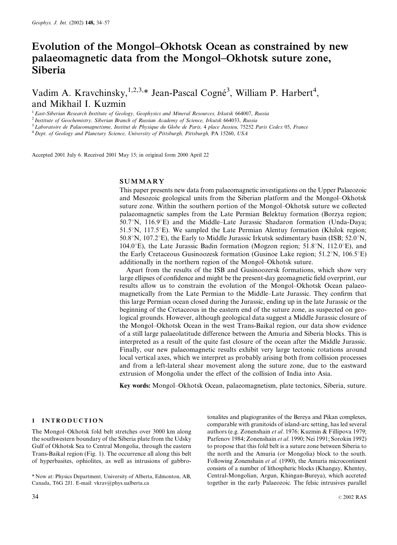# Evolution of the Mongol–Okhotsk Ocean as constrained by new palaeomagnetic data from the Mongol–Okhotsk suture zone, Siberia

Vadim A. Kravchinsky, <sup>1,2,3,\*</sup> Jean-Pascal Cogné<sup>3</sup>, William P. Harbert<sup>4</sup>, and Mikhail I. Kuzmin

<sup>1</sup> East-Siberian Research Institute of Geology, Geophysics and Mineral Resources, Irkutsk 664007, Russia <sup>2</sup> Institute of Geochemistry, Siberian Branch of Russian Academy of Science, Irkutsk 664033, Russia

<sup>3</sup> Laboratoire de Palaeomagnetisme, Institut de Physique du Globe de Paris, 4 place Jussieu, 75252 Paris Cedex 05, France  $4$  Dept. of Geology and Planetary Science, University of Pittsburgh, Pittsburgh, PA 15260, USA

Accepted 2001 July 6. Received 2001 May 15; in original form 2000 April 22

## **SUMMARY**

This paper presents new data from palaeomagnetic investigations on the Upper Palaeozoic and Mesozoic geological units from the Siberian platform and the Mongol–Okhotsk suture zone. Within the southern portion of the Mongol–Okhotsk suture we collected palaeomagnetic samples from the Late Permian Belektuy formation (Borzya region; 50.7°N, 116.9°E) and the Middle–Late Jurassic Shadaron formation (Unda-Daya; 51.5 $\degree$ N, 117.5 $\degree$ E). We sampled the Late Permian Alentuy formation (Khilok region; 50.8°N, 107.2°E), the Early to Middle Jurassic Irkutsk sedimentary basin (ISB; 52.0°N, 104.0°E), the Late Jurassic Badin formation (Mogzon region;  $51.8^{\circ}$ N, 112.0°E), and the Early Cretaceous Gusinoozesk formation (Gusinoe Lake region;  $51.2^{\circ}$ N,  $106.5^{\circ}$ E) additionally in the northern region of the Mongol–Okhotsk suture.

Apart from the results of the ISB and Gusinoozersk formations, which show very large ellipses of confidence and might be the present-day geomagnetic field overprint, our results allow us to constrain the evolution of the Mongol–Okhotsk Ocean palaeomagnetically from the Late Permian to the Middle–Late Jurassic. They confirm that this large Permian ocean closed during the Jurassic, ending up in the late Jurassic or the beginning of the Cretaceous in the eastern end of the suture zone, as suspected on geological grounds. However, although geological data suggest a Middle Jurassic closure of the Mongol–Okhotsk Ocean in the west Trans-Baikal region, our data show evidence of a still large palaeolatitude difference between the Amuria and Siberia blocks. This is interpreted as a result of the quite fast closure of the ocean after the Middle Jurassic. Finally, our new palaeomagnetic results exhibit very large tectonic rotations around local vertical axes, which we interpret as probably arising both from collision processes and from a left-lateral shear movement along the suture zone, due to the eastward extrusion of Mongolia under the effect of the collision of India into Asia.

Key words: Mongol–Okhotsk Ocean, palaeomagnetism, plate tectonics, Siberia, suture.

## 1 INTRODUCTION

The Mongol–Okhotsk fold belt stretches over 3000 km along the southwestern boundary of the Siberia plate from the Udsky Gulf of Okhotsk Sea to Central Mongolia, through the eastern Trans-Baikal region (Fig. 1). The occurrence all along this belt of hyperbasites, ophiolites, as well as intrusions of gabbro-

\* Now at: Physics Department, University of Alberta, Edmonton, AB, Canada, T6G 2J1. E-mail: vkrav@phys.ualberta.ca

tonalites and plagiogranites of the Bereya and Pikan complexes, comparable with granitoids of island-arc setting, has led several authors (e.g. Zonenshain et al. 1976; Kuzmin & Fillipova 1979; Parfenov 1984; Zonenshain et al. 1990; Nei 1991; Sorokin 1992) to propose that this fold belt is a suture zone between Siberia to the north and the Amuria (or Mongolia) block to the south. Following Zonenshain et al. (1990), the Amuria microcontinent consists of a number of lithospheric blocks (Khangay, Khentey, Central-Mongolian, Argun, Khingan-Bureya), which accreted together in the early Palaeozoic. The felsic intrusives parallel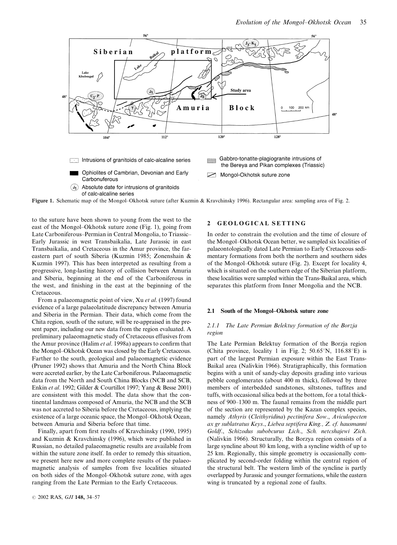

Figure 1. Schematic map of the Mongol–Okhotsk suture (after Kuzmin & Kravchinsky 1996). Rectangular area: sampling area of Fig. 2.

to the suture have been shown to young from the west to the east of the Mongol–Okhotsk suture zone (Fig. 1), going from Late Carboniferous–Permian in Central Mongolia, to Triassic– Early Jurassic in west Transbaikalia, Late Jurassic in east Transbaikalia, and Cretaceous in the Amur province, the fareastern part of south Siberia (Kuzmin 1985; Zonenshain & Kuzmin 1997). This has been interpreted as resulting from a progressive, long-lasting history of collision between Amuria and Siberia, beginning at the end of the Carboniferous in the west, and finishing in the east at the beginning of the Cretaceous.

From a palaeomagnetic point of view, Xu et al. (1997) found evidence of a large palaeolatitude discrepancy between Amuria and Siberia in the Permian. Their data, which come from the Chita region, south of the suture, will be re-appraised in the present paper, including our new data from the region evaluated. A preliminary palaeomagnetic study of Cretaceous effusives from the Amur province (Halim et al. 1998a) appears to confirm that the Mongol–Okhotsk Ocean was closed by the Early Cretaceous. Farther to the south, geological and palaeomagnetic evidence (Pruner 1992) shows that Amuria and the North China Block were accreted earlier, by the Late Carboniferous. Palaeomagnetic data from the North and South China Blocks (NCB and SCB, Enkin et al. 1992; Gilder & Courtillot 1997; Yang & Besse 2001) are consistent with this model. The data show that the continental landmass composed of Amuria, the NCB and the SCB was not accreted to Siberia before the Cretaceous, implying the existence of a large oceanic space, the Mongol–Okhotsk Ocean, between Amuria and Siberia before that time.

Finally, apart from first results of Kravchinsky (1990, 1995) and Kuzmin & Kravchinsky (1996), which were published in Russian, no detailed palaeomagnetic results are available from within the suture zone itself. In order to remedy this situation, we present here new and more complete results of the palaeomagnetic analysis of samples from five localities situated on both sides of the Mongol–Okhotsk suture zone, with ages ranging from the Late Permian to the Early Cretaceous.

## **GEOLOGICAL SETTING**

In order to constrain the evolution and the time of closure of the Mongol–Okhotsk Ocean better, we sampled six localities of palaeontologically dated Late Permian to Early Cretaceous sedimentary formations from both the northern and southern sides of the Mongol–Okhotsk suture (Fig. 2). Except for locality 4, which is situated on the southern edge of the Siberian platform, these localities were sampled within the Trans-Baikal area, which separates this platform from Inner Mongolia and the NCB.

#### 2.1 South of the Mongol–Okhotsk suture zone

#### 2.1.1 The Late Permian Belektuy formation of the Borzja region

The Late Permian Belektuy formation of the Borzja region (Chita province, locality 1 in Fig. 2;  $50.65^{\circ}N$ ,  $116.88^{\circ}E$ ) is part of the largest Permian exposure within the East Trans-Baikal area (Nalivkin 1966). Stratigraphically, this formation begins with a unit of sandy-clay deposits grading into various pebble conglomerates (about 400 m thick), followed by three members of interbedded sandstones, siltstones, tuffites and tuffs, with occasional silica beds at the bottom, for a total thickness of 900–1300 m. The faunal remains from the middle part of the section are represented by the Kazan complex species, namely Athyris (Cleithyridina) pectinifera Sow., Aviculopecten ax gr sublatratus Keys., Liebea septifera King., Z. cf. hausmanni Goldf., Schizodus subobcurus Lich., Sch. netcshajewi Zich. (Nalivkin 1966). Structurally, the Borzya region consists of a large syncline about 80 km long, with a syncline width of up to 25 km. Regionally, this simple geometry is occasionally complicated by second-order folding within the central region of the structural belt. The western limb of the syncline is partly overlapped by Jurassic and younger formations, while the eastern wing is truncated by a regional zone of faults.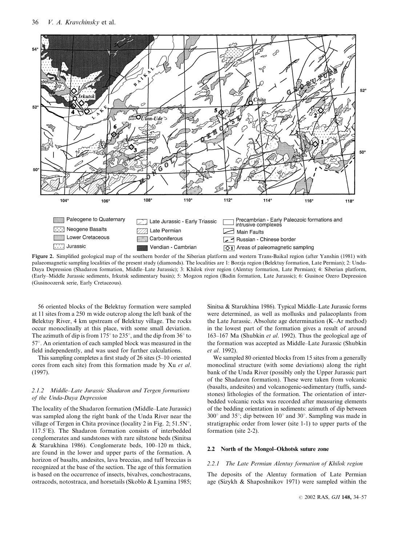

Figure 2. Simplified geological map of the southern border of the Siberian platform and western Trans-Baikal region (after Yanshin (1981) with palaeomagnetic sampling localities of the present study (diamonds). The localities are 1: Borzja region (Belektuy formation, Late Permian); 2: Unda-Daya Depression (Shadaron formation, Middle–Late Jurassic); 3: Khilok river region (Alentuy formation, Late Permian); 4: Siberian platform, (Early–Middle Jurassic sediments, Irkutsk sedimentary basin); 5: Mogzon region (Badin formation, Late Jurassic); 6: Gusinoe Ozero Depression (Gusinoozersk serie, Early Cretaceous).

56 oriented blocks of the Belektuy formation were sampled at 11 sites from a 250 m wide outcrop along the left bank of the Belektuy River, 4 km upstream of Belektuy village. The rocks occur monoclinally at this place, with some small deviation. The azimuth of dip is from 175 $\degree$  to 235 $\degree$ , and the dip from 36 $\degree$  to  $57^\circ$ . An orientation of each sampled block was measured in the field independently, and was used for further calculations.

This sampling completes a first study of 26 sites (5–10 oriented cores from each site) from this formation made by Xu et al. (1997).

#### 2.1.2 Middle–Late Jurassic Shadaron and Tergen formations of the Unda-Daya Depression

The locality of the Shadaron formation (Middle–Late Jurassic) was sampled along the right bank of the Unda River near the village of Tergen in Chita province (locality 2 in Fig. 2;  $51.5N^{\circ}$ ,  $117.5^{\circ}$ E). The Shadaron formation consists of interbedded conglomerates and sandstones with rare siltstone beds (Sinitsa & Starukhina 1986). Conglomerate beds, 100–120 m thick, are found in the lower and upper parts of the formation. A horizon of basalts, andesites, lava breccias, and tuff breccias is recognized at the base of the section. The age of this formation is based on the occurrence of insects, bivalves, conchostracans, ostracods, notostraca, and horsetails (Skoblo & Lyamina 1985;

Sinitsa & Starukhina 1986). Typical Middle–Late Jurassic forms were determined, as well as mollusks and palaeoplants from the Late Jurassic. Absolute age determination (K–Ar method) in the lowest part of the formation gives a result of around 163–167 Ma (Shubkin et al. 1992). Thus the geological age of the formation was accepted as Middle–Late Jurassic (Shubkin et al. 1992).

We sampled 80 oriented blocks from 15 sites from a generally monoclinal structure (with some deviations) along the right bank of the Unda River (possibly only the Upper Jurassic part of the Shadaron formation). These were taken from volcanic (basalts, andesites) and volcanogenic-sedimentary (tuffs, sandstones) lithologies of the formation. The orientation of interbedded volcanic rocks was recorded after measuring elements of the bedding orientation in sediments: azimuth of dip between  $300^{\circ}$  and  $35^{\circ}$ ; dip between  $10^{\circ}$  and  $30^{\circ}$ . Sampling was made in stratigraphic order from lower (site 1-1) to upper parts of the formation (site 2-2).

#### 2.2 North of the Mongol–Okhotsk suture zone

#### 2.2.1 The Late Permian Alentuy formation of Khilok region

The deposits of the Alentuy formation of Late Permian age (Sizykh & Shaposhnikov 1971) were sampled within the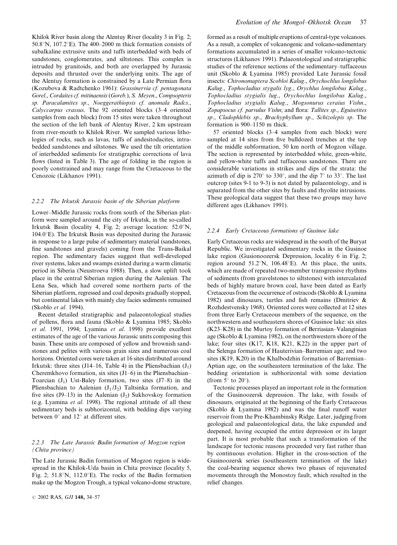Khilok River basin along the Alentuy River (locality 3 in Fig. 2; 50.8°N, 107.2°E). The 400–2000 m thick formation consists of subalkaline extrusive units and tuffs interbedded with beds of sandstones, conglomerates, and siltstones. This complex is intruded by granitoids, and both are overlapped by Jurassic deposits and thrusted over the underlying units. The age of the Alentuy formation is constrained by a Late Permian flora (Kozubova & Radtchenko 1961): Grassinervia cf. pentagonata Gorel., Cordaites cf. mitinaensis(Goreb.), S. Meyen., Compsopteris sp. Paracalamites sp., Noeggerathiopsis cf. anomala Radcs., Calyccarpus crassus. The 92 oriented blocks (3–4 oriented samples from each block) from 15 sites were taken throughout the section of the left bank of Alentuy River, 2 km upstream from river-mouth to Khilok River. We sampled various lithologies of rocks, such as lavas, tuffs of andesitodacites, intrabedded sandstones and siltstones. We used the tilt orientation of interbedded sediments for stratigraphic corrections of lava flows (listed in Table 3). The age of folding in the region is poorly constrained and may range from the Cretaceous to the Cenozoic (Likhanov 1991).

#### 2.2.2 The Irkutsk Jurassic basin of the Siberian platform

Lower–Middle Jurassic rocks from south of the Siberian platform were sampled around the city of Irkutsk, in the so-called Irkutsk Basin (locality 4, Fig. 2; average location:  $52.0^{\circ}$ N,  $104.0^{\circ}$ E). The Irkutsk Basin was deposited during the Jurassic in response to a large pulse of sedimentary material (sandstones, fine sandstones and gravels) coming from the Trans-Baikal region. The sedimentary facies suggest that well-developed river systems, lakes and swamps existed during a warm climatic period in Siberia (Neustroeva 1988). Then, a slow uplift took place in the central Siberian region during the Aalenian. The Lena Sea, which had covered some northern parts of the Siberian platform, regressed and coal deposits gradually stopped, but continental lakes with mainly clay facies sediments remained (Skoblo et al. 1994).

Recent detailed stratigraphic and palaeontological studies of pollens, flora and fauna (Skoblo & Lyamina 1985; Skoblo et al. 1991, 1994; Lyamina et al. 1998) provide excellent estimates of the age of the various Jurassic units composing this basin. These units are composed of yellow and brownish sandstones and pelites with various grain sizes and numerous coal horizons. Oriented cores were taken at 16 sites distributed around Irkutsk: three sites (J14–16, Table 4) in the Pliensbachian  $(J_1)$ Cheremkhovo formation, six sites (J1–6) in the Pliensbachian– Toarcian  $(J_1)$  Ust-Baley formation, two sites  $(J7-8)$  in the Pliensbachian to Aalenian  $(J_1 / J_2)$  Taltsinka formation, and five sites (J9–13) in the Aalenian (J<sub>2</sub>) Sukhovskoy formation (e.g. Lyamina et al. 1998). The regional attitude of all these sedimentary beds is subhorizontal, with bedding dips varying between  $0^{\circ}$  and  $12^{\circ}$  at different sites.

## 2.2.3 The Late Jurassic Badin formation of Mogzon region (Chita province)

The Late Jurassic Badin formation of Mogzon region is widespread in the Khilok-Uda basin in Chita province (locality 5, Fig. 2; 51.8°N, 112.0°E). The rocks of the Badin formation make up the Mogzon Trough, a typical volcano-dome structure, formed as a result of multiple eruptions of central-type volcanoes. As a result, a complex of volcanogenic and volcano-sedimentary formations accumulated in a series of smaller volcano-tectonic structures (Likhanov 1991). Palaeontological and stratigraphic studies of the reference sections of the sedimentary–tuffaceous unit (Skoblo & Lyamina 1985) provided Late Jurassic fossil insects: Chironomaptera Scobloi Kalug., Orychochlus longilobus Kalug., Tophocladius stygalis lyg., Orychlus longilobus Kalug., Tophocladius stygialis lug., Orychochlus longilobus Kalug., Tophocladius stygialis Kalug., Mogsonurus ceraius Vishn., Zopapsocus cf. parvulus Vishn; and flora: Tallites sp., Eguisetites sp., Cladophlebis sp., Brachyphyllum sp., Schizolepis sp. The formation is 900–1150 m thick.

57 oriented blocks (3–4 samples from each block) were sampled at 14 sites from five bulldozed trenches at the top of the middle subformation, 50 km north of Mogzon village. The section is represented by interbedded white, green-white, and yellow-white tuffs and tuffaceous sandstones. There are considerable variations in strikes and dips of the strata: the azimuth of dip is  $270^{\circ}$  to 330°, and the dip  $7^{\circ}$  to 33°. The last outcrop (sites 9-1 to 9-3) is not dated by palaeontology, and is separated from the other sites by faults and rhyolite intrusions. These geological data suggest that these two groups may have different ages (Likhanov 1991).

#### 2.2.4 Early Cretaceous formations of Gusinoe lake

Early Cretaceous rocks are widespread in the south of the Buryat Republic. We investigated sedimentary rocks in the Gusinoe lake region (Gusionoozersk Depression, locality 6 in Fig. 2; region around  $51.2^{\circ}N$ ,  $106.48^{\circ}E$ ). At this place, the units, which are made of repeated two-member transgressive rhythms of sediments (from gravelstones to siltstones) with intercalated beds of highly mature brown coal, have been dated as Early Cretaceous from the occurrence of ostracods (Skoblo & Lyamina 1982) and dinosaurs, turtles and fish remains (Dmitriev & Rozhdestvensky 1968). Oriented cores were collected at 12 sites from three Early Cretaceous members of the sequence, on the northwestern and southeastern shores of Gusinoe lake: six sites (K23–K28) in the Murtoy formation of Berriasian–Valanginian age (Skoblo & Lyamina 1982), on the northwestern shore of the lake; four sites (K17, K18, K21, K22) in the upper part of the Selenga formation of Hauterivian–Barremian age; and two sites (K19, K20) in the Khalbodzhin formation of Barremian– Aptian age, on the southeastern termination of the lake. The bedding orientation is subhorizontal with some deviation (from  $5^\circ$  to  $20^\circ$ ).

Tectonic processes played an important role in the formation of the Gusinoozersk depression. The lake, with fossils of dinosaurs, originated at the beginning of the Early Cretaceous (Skoblo & Lyamina 1982) and was the final runoff water reservoir from the Pre-Khambinsky Ridge. Later, judging from geological and palaeontological data, the lake expanded and deepened, having occupied the entire depression or its larger part. It is most probable that such a transformation of the landscape for tectonic reasons proceeded very fast rather than by continuous evolution. Higher in the cross-section of the Gusinoozersk series (southeastern termination of the lake) the coal-bearing sequence shows two phases of rejuvenated movements through the Monostoy fault, which resulted in the relief changes.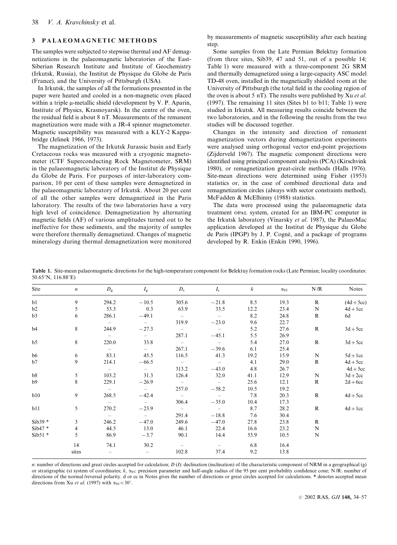## 3 PALAEOMAGNETIC METHODS

The samples were subjected to stepwise thermal and AF demagnetizations in the palaeomagnetic laboratories of the East-Siberian Research Institute and Institute of Geochemistry (Irkutsk, Russia), the Institut de Physique du Globe de Paris (France), and the University of Pittsburgh (USA).

In Irkutsk, the samples of all the formations presented in the paper were heated and cooled in a non-magnetic oven placed within a triple  $\mu$ -metallic shield (development by V. P. Aparin, Institute of Physics, Krasnoyarsk). In the centre of the oven, the residual field is about 8 nT. Measurements of the remanent magnetization were made with a JR-4 spinner magnetometer. Magnetic susceptibility was measured with a KLY-2 Kappabridge (Jelinek 1966, 1973).

The magnetization of the Irkutsk Jurassic basin and Early Cretaceous rocks was measured with a cryogenic magnetometer (CTF Superconducting Rock Magnetometer, SRM) in the palaeomagnetic laboratory of the Institut de Physique du Globe de Paris. For purposes of inter-laboratory comparison, 10 per cent of these samples were demagnetized in the palaeomagnetic laboratory of Irkutsk. About 20 per cent of all the other samples were demagnetized in the Paris laboratory. The results of the two laboratories have a very high level of coincidence. Demagnetization by alternating magnetic fields (AF) of various amplitudes turned out to be ineffective for these sediments, and the majority of samples were therefore thermally demagnetized. Changes of magnetic mineralogy during thermal demagnetization were monitored

by measurements of magnetic susceptibility after each heating step.

Some samples from the Late Permian Belektuy formation (from three sites, Sib39, 47 and 51, out of a possible 14; Table 1) were measured with a three-component 2G SRM and thermally demagnetized using a large-capacity ASC model TD-48 oven, installed in the magnetically shielded room at the University of Pittsburgh (the total field in the cooling region of the oven is about 5 nT). The results were published by Xu et al. (1997). The remaining 11 sites (Sites b1 to b11; Table 1) were studied in Irkutsk. All measuring results coincide between the two laboratories, and in the following the results from the two studies will be discussed together.

Changes in the intensity and direction of remanent magnetization vectors during demagnetization experiments were analysed using orthogonal vector end-point projections (Zijderveld 1967). The magnetic component directions were identified using principal component analysis (PCA) (Kirschvink 1980), or remagnetization great-circle methods (Halls 1976). Site-mean directions were determined using Fisher (1953) statistics or, in the case of combined directional data and remagnetization circles (always with sector constraints method), McFadden & McElhinny (1988) statistics.

The data were processed using the palaeomagnetic data treatment opal system, created for an IBM-PC computer in the Irkutsk laboratory (Vinarsky et al. 1987), the PalaeoMac application developed at the Institut de Physique du Globe de Paris (IPGP) by J. P. Cogné, and a package of programs developed by R. Enkin (Enkin 1990, 1996).

Table 1. Site-mean palaeomagnetic directions for the high-temperature component for Belektuy formation rocks (Late Permian; locality coordinates: 50.65°N, 116.88°E)

| Site           | $\boldsymbol{n}$ | $D_{\rm g}$    | $I_{\rm g}$    | $D_{\rm s}$              | $I_{\rm s}$ | $\kappa$ | $\alpha_{95}$ | N/R          | <b>Notes</b> |
|----------------|------------------|----------------|----------------|--------------------------|-------------|----------|---------------|--------------|--------------|
| b1             | 9                | 294.2          | $-10.5$        | 305.6                    | $-21.8$     | 8.5      | 19.3          | $\mathbb{R}$ | $(4d+5cc)$   |
| b2             | 5                | 53.3           | 0.3            | 63.9                     | 33.5        | 12.2     | 23.4          | $\mathbf N$  | $4d + 1cc$   |
| b3             | 6                | 286.1          | $-49.1$        | $\sim$ $-$               | $\sim$ $-$  | 8.2      | 24.8          | $\mathbf{R}$ | 6d           |
|                |                  | $-$            | $\sim$         | 319.9                    | $-23.0$     | 9.6      | 22.7          |              |              |
| b4             | 8                | 244.9          | $-27.3$        | $\sim$ $-$               | $\sim$ $-$  | 5.2      | 27.6          | $\mathbf{R}$ | $3d + 5cc$   |
|                |                  | $-$            | $ \,$          | 287.1                    | $-45.1$     | 5.5      | 26.9          |              |              |
| b <sub>5</sub> | 8                | 220.0          | 33.8           | $\overline{\phantom{0}}$ | $\sim$ $-$  | 5.4      | 27.0          | $\mathbb{R}$ | $3d + 5cc$   |
|                |                  | $\overline{a}$ | $\sim$         | 267.1                    | $-39.6$     | 6.1      | 25.4          |              |              |
| b6             | 6                | 83.1           | 45.5           | 116.5                    | 41.3        | 19.2     | 15.9          | $\mathbf N$  | $5d + 1cc$   |
| b7             | 9                | 214.1          | $-66.5$        | $\sim$ $  -$             | $\sim$ $-$  | 4.1      | 29.0          | $\mathbf R$  | $4d + 5cc$   |
|                |                  | $\sim$         | $\sim$         | 313.2                    | $-43.0$     | 4.8      | 26.7          |              | $4d + 5cc$   |
| b8             | 5                | 103.2          | 31.3           | 126.4                    | 32.0        | 41.1     | 12.9          | $\mathbf N$  | $3d+2cc$     |
| b9             | 8                | 229.1          | $-26.9$        | $\sim$ $-$               | $\sim$      | 25.6     | 12.1          | $\mathbb{R}$ | $2d + 6cc$   |
|                |                  | $\sim$         | $\sim$ $ \sim$ | 257.0                    | $-58.2$     | 10.5     | 19.2          |              |              |
| b10            | 9                | 268.5          | $-42.4$        | $\sim$                   | $-$         | 7.8      | 20.3          | $\mathbb{R}$ | $4d + 5cc$   |
|                |                  | $\sim$         | $\sim$ $-$     | 306.4                    | $-35.0$     | 10.4     | 17.3          |              |              |
| b11            | 5                | 270.2          | $-23.9$        | $\sim$ $ -$              | $\sim$ $-$  | 8.7      | 28.2          | $\mathbf R$  | $4d + 1cc$   |
|                |                  | $\sim$         | $\sim$         | 291.4                    | $-18.8$     | 7.6      | 30.4          |              |              |
| $Sib39*$       | 3                | 246.2          | $-47.0$        | 249.6                    | $-47.0$     | 27.8     | 23.8          | $\mathbf R$  |              |
| $Sib47*$       | $\overline{4}$   | 44.5           | 13.0           | 46.1                     | 22.4        | 16.6     | 23.2          | $\mathbf N$  |              |
| $Sib51*$       | 5                | 86.9           | $-3.7$         | 90.1                     | 14.4        | 53.9     | 10.5          | N            |              |
|                | 14               | 74.1           | 30.2           | $\sim$                   |             | 6.8      | 16.4          |              |              |
|                | sites            |                |                | 102.8                    | 37.4        | 9.2      | 13.8          |              |              |

n: number of directions and great circles accepted for calculation;  $D(I)$ : declination (inclination) of the characteristic component of NRM in a geographical (g) or stratigraphic (s) system of coordinates;  $k$ ,  $\alpha_{95}$ : precision parameter and half-angle radius of the 95 per cent probability confidence cone; N/R: number of directions of the normal/reversal polarity. d or cc in Notes gives the number of directions or great circles accepted for calculations. \* denotes accepted mean directions from Xu et al. (1997) with  $\alpha_{95} < 30^\circ$ .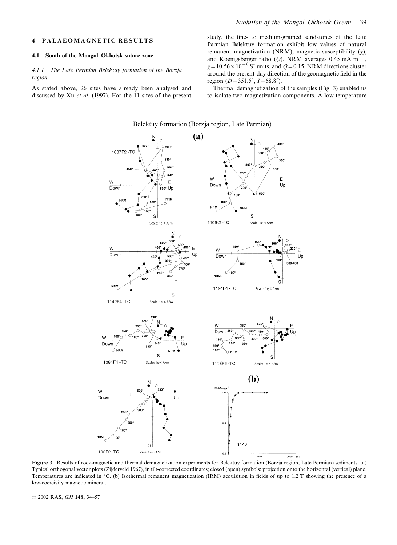#### 4 PALAEOMAGNETIC RESULTS

#### 4.1 South of the Mongol–Okhotsk suture zone

## 4.1.1 The Late Permian Belektuy formation of the Borzja region

As stated above, 26 sites have already been analysed and discussed by Xu et al. (1997). For the 11 sites of the present

study, the fine- to medium-grained sandstones of the Late Permian Belektuy formation exhibit low values of natural remanent magnetization (NRM), magnetic susceptibility  $(\chi)$ , and Koenigsberger ratio (Q). NRM averages 0.45 mA m<sup>-</sup> ,  $\chi = 10.56 \times 10^{-6}$  SI units, and Q = 0.15. NRM directions cluster around the present-day direction of the geomagnetic field in the region ( $D=351.5^{\circ}$ ,  $I=68.8^{\circ}$ ).

Thermal demagnetization of the samples (Fig. 3) enabled us to isolate two magnetization components. A low-temperature



Figure 3. Results of rock-magnetic and thermal demagnetization experiments for Belektuy formation (Borzja region, Late Permian) sediments. (a) Typical orthogonal vector plots (Zijderveld 1967), in tilt-corrected coordinates; closed (open) symbols: projection onto the horizontal (vertical) plane. Temperatures are indicated in  $\degree$ C. (b) Isothermal remanent magnetization (IRM) acquisition in fields of up to 1.2 T showing the presence of a low-coercivity magnetic mineral.

© 2002 RAS, GJI 148, 34-57

Belektuy formation (Borzja region, Late Permian)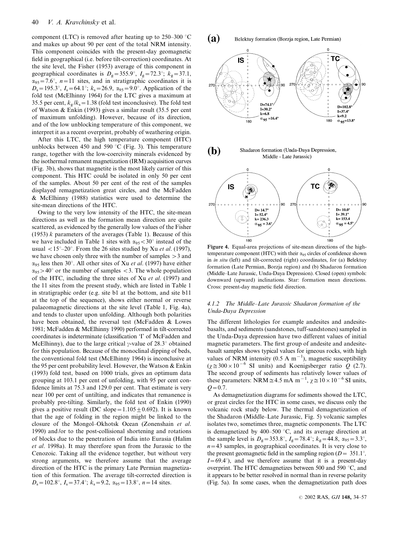component (LTC) is removed after heating up to 250–300  $^{\circ}$ C and makes up about 90 per cent of the total NRM intensity. This component coincides with the present-day geomagnetic field in geographical (i.e. before tilt-correction) coordinates. At the site level, the Fisher (1953) average of this component in geographical coordinates is  $D_g = 355.9^\circ$ ,  $I_g = 72.3^\circ$ ;  $k_g = 37.1$ ,  $\alpha_{95}=7.6^{\circ}$ ,  $n=11$  sites, and in stratigraphic coordinates it is  $D_s = 195.3^{\circ}$ ,  $I_s = 64.1^{\circ}$ ;  $k_s = 26.9$ ,  $\alpha_{95} = 9.0^{\circ}$ . Application of the fold test (McElhinny 1964) for the LTC gives a maximum at 35.5 per cent,  $k_g / k_s = 1.38$  (fold test inconclusive). The fold test of Watson & Enkin (1993) gives a similar result (35.5 per cent of maximum unfolding). However, because of its direction, and of the low unblocking temperature of this component, we interpret it as a recent overprint, probably of weathering origin.

After this LTC, the high temperature component (HTC) unblocks between 450 and 590  $^{\circ}$ C (Fig. 3). This temperature range, together with the low-coercivity minerals evidenced by the isothermal remanent magnetization (IRM) acquisition curves (Fig. 3b), shows that magnetite is the most likely carrier of this component. This HTC could be isolated in only 50 per cent of the samples. About 50 per cent of the rest of the samples displayed remagnetization great circles, and the McFadden & McElhinny (1988) statistics were used to determine the site-mean directions of the HTC.

Owing to the very low intensity of the HTC, the site-mean directions as well as the formation mean direction are quite scattered, as evidenced by the generally low values of the Fisher (1953)  $k$  parameters of the averages (Table 1). Because of this we have included in Table 1 sites with  $\alpha_{95} < 30^{\circ}$  instead of the usual  $\langle 15^\circ - 20^\circ \rangle$ . From the 26 sites studied by Xu *et al.* (1997), we have chosen only three with the number of samples >3 and  $\alpha_{95}$  less then 30°. All other sites of Xu *et al.* (1997) have either  $\alpha_{95} > 40^{\circ}$  or the number of samples <3. The whole population of the HTC, including the three sites of Xu et al. (1997) and the 11 sites from the present study, which are listed in Table 1 in stratigraphic order (e.g. site b1 at the bottom, and site b11 at the top of the sequence), shows either normal or reverse palaeomagnetic directions at the site level (Table 1, Fig. 4a), and tends to cluster upon unfolding. Although both polarities have been obtained, the reversal test (McFadden & Lowes 1981; McFadden & McElhinny 1990) performed in tilt-corrected coordinates is indeterminate (classification 'I' of McFadden and McElhinny), due to the large critical  $\gamma$ -value of 28.3° obtained for this population. Because of the monoclinal dipping of beds, the conventional fold test (McElhinny 1964) is inconclusive at the 95 per cent probability level. However, the Watson & Enkin (1993) fold test, based on 1000 trials, gives an optimum data grouping at 103.1 per cent of unfolding, with 95 per cent confidence limits at 75.3 and 129.0 per cent. That estimate is very near 100 per cent of untilting, and indicates that remanence is probably pre-tilting. Similarly, the fold test of Enkin (1990) gives a positive result (DC slope=1.105 $\pm$ 0.692). It is known that the age of folding in the region might be linked to the closure of the Mongol–Okhotsk Ocean (Zonenshain et al. 1990) and /or to the post-collisional shortening and rotations of blocks due to the penetration of India into Eurasia (Halim et al. 1998a). It may therefore span from the Jurassic to the Cenozoic. Taking all the evidence together, but without very strong arguments, we therefore assume that the average direction of the HTC is the primary Late Permian magnetization of this formation. The average tilt-corrected direction is  $D_s = 102.8^\circ$ ,  $I_s = 37.4^\circ$ ;  $k_s = 9.2$ ,  $\alpha_{95} = 13.8^\circ$ ,  $n = 14$  sites.



temperature component (HTC) with their  $\alpha_{95}$  circles of confidence shown in in situ (left) and tilt-corrected (right) coordinates, for (a) Belektuy formation (Late Permian, Borzja region) and (b) Shadaron formation (Middle–Late Jurassic, Unda-Daya Depression). Closed (open) symbols: downward (upward) inclinations. Star: formation mean directions. Cross: present-day magnetic field direction.

## 4.1.2 The Middle–Late Jurassic Shadaron formation of the Unda-Daya Depression

The different lithologies for example andesites and andesitebasalts, and sediments (sandstones, tuff-sandstones) sampled in the Unda-Daya depression have two different values of initial magnetic parameters. The first group of andesite and andesitebasalt samples shows typical values for igneous rocks, with high values of NRM intensity (0.5 A m<sup>-1</sup>), magnetic susceptibility  $(\chi \approx 300 \times 10^{-6} \text{ SI} \text{ units})$  and Koenigsberger ratio Q (2.7). The second group of sediments has relatively lower values of these parameters: NRM  $\approx$  4.5 mA m<sup>-1</sup>,  $\chi \approx 10 \times 10^{-6}$  SI units,  $Q = 0.7$ .

As demagnetization diagrams for sediments showed the LTC, or great circles for the HTC in some cases, we discuss only the volcanic rock study below. The thermal demagnetization of the Shadaron (Middle–Late Jurassic, Fig. 5) volcanic samples isolates two, sometimes three, magnetic components. The LTC is demagnetized by 400–500  $\degree$ C, and its average direction at the sample level is  $D_g = 353.8^\circ$ ,  $I_g = 78.4^\circ$ ;  $k_g = 44.8$ ,  $\alpha_{95} = 3.3^\circ$ ,  $n=43$  samples, in geographical coordinates. It is very close to the present geomagnetic field in the sampling region ( $D = 351.1^{\circ}$ ,  $I=69.4^{\circ}$ , and we therefore assume that it is a present-day overprint. The HTC demagnetizes between 500 and 590  $^{\circ}$ C, and it appears to be better resolved in normal than in reverse polarity (Fig. 5a). In some cases, when the demagnetization path does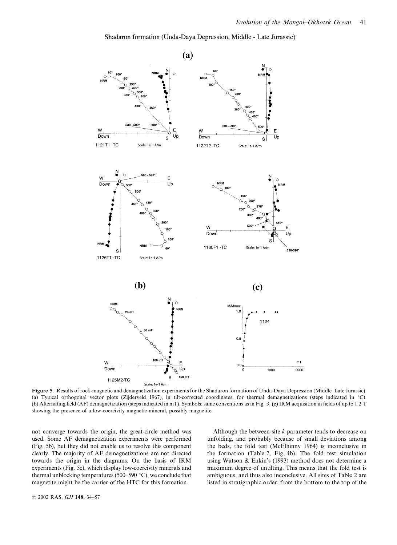Shadaron formation (Unda-Daya Depression, Middle - Late Jurassic)



Figure 5. Results of rock-magnetic and demagnetization experiments for the Shadaron formation of Unda-Daya Depression (Middle–Late Jurassic). (a) Typical orthogonal vector plots (Zijderveld 1967), in tilt-corrected coordinates, for thermal demagnetizations (steps indicated in  $°C$ ). (b) Alternating field (AF) demagnetization (steps indicated in mT). Symbols: same conventions as in Fig. 3. (c) IRM acquisition in fields of up to 1.2 T showing the presence of a low-coercivity magnetic mineral, possibly magnetite.

not converge towards the origin, the great-circle method was used. Some AF demagnetization experiments were performed (Fig. 5b), but they did not enable us to resolve this component clearly. The majority of AF demagnetizations are not directed towards the origin in the diagrams. On the basis of IRM experiments (Fig. 5c), which display low-coercivity minerals and thermal unblocking temperatures (500–590  $^{\circ}$ C), we conclude that magnetite might be the carrier of the HTC for this formation.

Although the between-site  $k$  parameter tends to decrease on unfolding, and probably because of small deviations among the beds, the fold test (McElhinny 1964) is inconclusive in the formation (Table 2, Fig. 4b). The fold test simulation using Watson & Enkin's (1993) method does not determine a maximum degree of untilting. This means that the fold test is ambiguous, and thus also inconclusive. All sites of Table 2 are listed in stratigraphic order, from the bottom to the top of the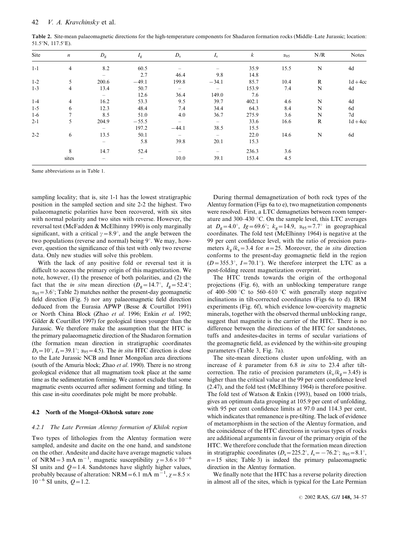Table 2. Site-mean palaeomagnetic directions for the high-temperature components for Shadaron formation rocks (Middle–Late Jurassic; location:  $51.5^{\circ}$ N,  $117.5^{\circ}$ E).

| Site    | $\boldsymbol{n}$ | $D_{\rm g}$              | $I_{\rm g}$ | $D_{\rm s}$              | $I_{\rm s}$              | $\boldsymbol{k}$ | $\alpha_{95}$ | N/R          | <b>Notes</b> |
|---------|------------------|--------------------------|-------------|--------------------------|--------------------------|------------------|---------------|--------------|--------------|
| $1 - 1$ | $\overline{4}$   | 8.2                      | 60.5        |                          |                          | 35.9             | 15.5          | N            | 4d           |
|         |                  | $\overline{\phantom{0}}$ | 2.7         | 46.4                     | 9.8                      | 14.8             |               |              |              |
| $1 - 2$ | 5                | 200.6                    | $-49.1$     | 199.8                    | $-34.1$                  | 85.7             | 10.4          | R            | $1d + 4cc$   |
| $1 - 3$ | $\overline{4}$   | 13.4                     | 50.7        | $\overline{\phantom{0}}$ | $\overline{\phantom{0}}$ | 153.9            | 7.4           | N            | 4d           |
|         |                  | $\overline{\phantom{m}}$ | 12.6        | 36.4                     | 149.0                    | 7.6              |               |              |              |
| $1-4$   | $\overline{4}$   | 16.2                     | 53.3        | 9.5                      | 39.7                     | 402.1            | 4.6           | N            | 4d           |
| $1 - 5$ | 6                | 12.3                     | 48.4        | 7.4                      | 34.4                     | 64.3             | 8.4           | N            | 6d           |
| $1-6$   | $\tau$           | 8.5                      | 51.0        | 4.0                      | 36.7                     | 275.9            | 3.6           | N            | 7d           |
| $2 - 1$ | 5                | 204.9                    | $-55.5$     | $\overline{\phantom{0}}$ | $\overline{\phantom{0}}$ | 33.6             | 16.6          | $\mathbb{R}$ | $1d + 4cc$   |
|         |                  | $\overline{\phantom{0}}$ | 197.2       | $-44.1$                  | 38.5                     | 15.5             |               |              |              |
| $2 - 2$ | 6                | 13.5                     | 50.1        |                          |                          | 22.0             | 14.6          | N            | 6d           |
|         |                  | $\overline{\phantom{0}}$ | 5.8         | 39.8                     | 20.1                     | 15.3             |               |              |              |
|         | 8                | 14.7                     | 52.4        | $\overline{\phantom{0}}$ |                          | 236.3            | 3.6           |              |              |
|         | sites            |                          |             | 10.0                     | 39.1                     | 153.4            | 4.5           |              |              |

Same abbreviations as in Table 1.

sampling locality; that is, site 1-1 has the lowest stratigraphic position in the sampled section and site 2-2 the highest. Two palaeomagnetic polarities have been recovered, with six sites with normal polarity and two sites with reverse. However, the reversal test (McFadden & McElhinny 1990) is only marginally significant, with a critical  $\gamma=8.9^{\circ}$ , and the angle between the two populations (reverse and normal) being  $9^\circ$ . We may, however, question the significance of this test with only two reverse data. Only new studies will solve this problem.

With the lack of any positive fold or reversal test it is difficult to access the primary origin of this magnetization. We note, however, (1) the presence of both polarities, and (2) the fact that the *in situ* mean direction  $(D_g=14.7^{\circ}, I_g=52.4^{\circ};$  $\alpha_{95}$  = 3.6°; Table 2) matches neither the present-day geomagnetic field direction (Fig. 5) nor any palaeomagnetic field direction deduced from the Eurasia APWP (Besse & Courtillot 1991) or North China Block (Zhao et al. 1996; Enkin et al. 1992; Gilder & Courtillot 1997) for geological times younger than the Jurassic. We therefore make the assumption that the HTC is the primary palaeomagnetic direction of the Shadaron formation (the formation mean direction in stratigraphic coordinates  $D_s=10^\circ$ ,  $I_s=39.1^\circ$ ;  $\alpha_{95}=4.5$ ). The *in situ* HTC direction is close to the Late Jurassic NCB and Inner Mongolian area directions (south of the Amuria block; Zhao et al. 1990). There is no strong geological evidence that all magmatism took place at the same time as the sedimentation forming. We cannot exclude that some magmatic events occurred after sediment forming and titling. In this case in-situ coordinates pole might be more probable.

#### 4.2 North of the Mongol–Okhotsk suture zone

#### 4.2.1 The Late Permian Alentuy formation of Khilok region

Two types of lithologies from the Alentuy formation were sampled, andesite and dacite on the one hand, and sandstone on the other. Andesite and dacite have average magnetic values of NRM = 3 mA m<sup>-1</sup>, magnetic susceptibility  $\chi$  = 3.6 × 10<sup>-6</sup> SI units and  $Q=1.4$ . Sandstones have slightly higher values, probably because of alteration: NRM = 6.1 mA m<sup>-1</sup>,  $\chi$  = 8.5  $\times$  $10^{-6}$  SI units,  $Q=1.2$ .

During thermal demagnetization of both rock types of the Alentuy formation (Figs 6a to e), two magnetization components were resolved. First, a LTC demagnetizes between room temperature and 300–430 °C. On the sample level, this LTC averages at  $D_g=4.0^{\circ}$ ,  $I_g=69.6^{\circ}$ ;  $k_g=14.9$ ,  $\alpha_{95}=7.7^{\circ}$  in geographical coordinates. The fold test (McElhinny 1964) is negative at the 99 per cent confidence level, with the ratio of precision parameters  $k_g / k_s = 3.4$  for  $n = 25$ . Moreover, the *in situ* direction conforms to the present-day geomagnetic field in the region  $(D=355.3^{\circ}, I=70.1^{\circ})$ . We therefore interpret the LTC as a post-folding recent magnetization overprint.

The HTC trends towards the origin of the orthogonal projections (Fig. 6), with an unblocking temperature range of 400–500 °C to 560–610 °C with generally steep negative inclinations in tilt-corrected coordinates (Figs 6a to d). IRM experiments (Fig. 6f), which evidence low-coercivity magnetic minerals, together with the observed thermal unblocking range, suggest that magnetite is the carrier of the HTC. There is no difference between the directions of the HTC for sandstones, tuffs and andesites-dacites in terms of secular variations of the geomagnetic field, as evidenced by the within-site grouping parameters (Table 3, Fig. 7a).

The site-mean directions cluster upon unfolding, with an increase of  $k$  parameter from 6.8 in situ to 23.4 after tiltcorrection. The ratio of precision parameters  $(k_s / k_g = 3.45)$  is higher than the critical value at the 99 per cent confidence level (2.47), and the fold test (McElhinny 1964) is therefore positive. The fold test of Watson & Enkin (1993), based on 1000 trials, gives an optimum data grouping at 105.9 per cent of unfolding, with 95 per cent confidence limits at 97.0 and 114.3 per cent, which indicates that remanence is pre-tilting. The lack of evidence of metamorphism in the section of the Alentuy formation, and the coincidence of the HTC directions in various types of rocks are additional arguments in favour of the primary origin of the HTC. We therefore conclude that the formation mean direction in stratigraphic coordinates  $(D_s=225.2^\circ, I_s=-76.2^\circ; \alpha_{95}=8.1^\circ,$  $n=15$  sites; Table 3) is indeed the primary palaeomagnetic direction in the Alentuy formation.

We finally note that the HTC has a reverse polarity direction in almost all of the sites, which is typical for the Late Permian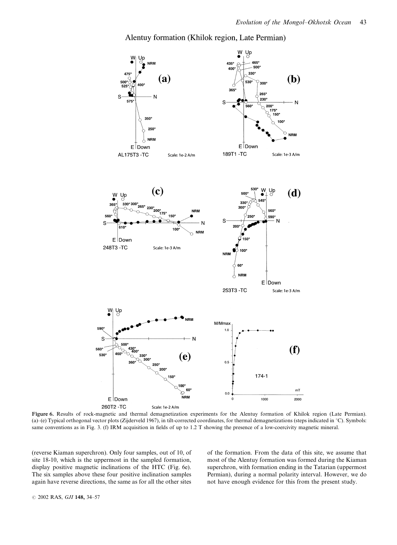

Alentuy formation (Khilok region, Late Permian)

Figure 6. Results of rock-magnetic and thermal demagnetization experiments for the Alentuy formation of Khilok region (Late Permian). (a)–(e) Typical orthogonal vector plots (Zijderveld 1967), in tilt-corrected coordinates, for thermal demagnetizations (steps indicated in  $^{\circ}$ C). Symbols: same conventions as in Fig. 3. (f) IRM acquisition in fields of up to 1.2 T showing the presence of a low-coercivity magnetic mineral.

(reverse Kiaman superchron). Only four samples, out of 10, of site 18-10, which is the uppermost in the sampled formation, display positive magnetic inclinations of the HTC (Fig. 6e). The six samples above these four positive inclination samples again have reverse directions, the same as for all the other sites

of the formation. From the data of this site, we assume that most of the Alentuy formation was formed during the Kiaman superchron, with formation ending in the Tatarian (uppermost Permian), during a normal polarity interval. However, we do not have enough evidence for this from the present study.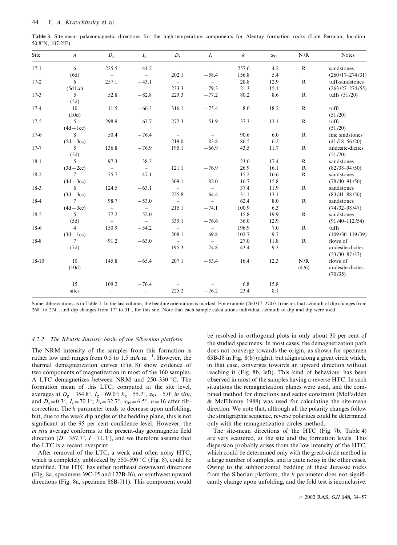| Table 3. Site-mean palaeomagnetic directions for the high-temperature components for Alentuy formation rocks (Late Permian; location: |  |  |  |  |  |  |
|---------------------------------------------------------------------------------------------------------------------------------------|--|--|--|--|--|--|
| $50.8^{\circ}$ N, $107.2^{\circ}$ E).                                                                                                 |  |  |  |  |  |  |

| Site    | $\boldsymbol{n}$ | $D_{\rm g}$              | $I_{\rm g}$              | $D_{\rm s}$              | $I_{\rm s}$              | $\boldsymbol{k}$ | $\alpha_{95}$ | N/R          | <b>Notes</b>        |
|---------|------------------|--------------------------|--------------------------|--------------------------|--------------------------|------------------|---------------|--------------|---------------------|
| $17-1$  | 6                | 225.5                    | $-44.2$                  | $\sim$                   | $\sim$                   | 257.6            | 4.2           | $\mathbb{R}$ | sandstones          |
|         | (6d)             | $\overline{\phantom{0}}$ | $\overline{\phantom{0}}$ | 202.1                    | $-58.4$                  | 156.8            | 5.4           |              | $(260/17-274/31)$   |
| $17-2$  | 6                | 257.1                    | $-43.1$                  | $\sim$                   | $\sim$                   | 28.8             | 12.9          | $\mathbf R$  | tuff-sandstones     |
|         | (5dlec)          | $\overline{a}$           | $\overline{\phantom{0}}$ | 233.3                    | $-79.3$                  | 21.3             | 15.1          |              | $(263/27-274/55)$   |
| $17-3$  | $5\overline{)}$  | 52.8                     | $-82.8$                  | 229.3                    | $-77.2$                  | 80.2             | 8.6           | $\mathbf R$  | tuffs $(51/20)$     |
|         | (5d)             |                          |                          |                          |                          |                  |               |              |                     |
| $17-4$  | 10               | 11.5                     | $-66.3$                  | 316.1                    | $-75.4$                  | 8.0              | 18.2          | $\mathbf{R}$ | tuffs               |
|         | (10d)            |                          |                          |                          |                          |                  |               |              | (51/20)             |
| $17-5$  | 5                | 298.9                    | $-63.7$                  | 272.3                    | $-51.9$                  | 37.3             | 13.1          | $\mathbf{R}$ | tuffs               |
|         | $(4d + 1cc)$     |                          |                          |                          |                          |                  |               |              | (51/20)             |
| $17-6$  | 8                | 50.4                     | $-76.4$                  | $\overline{\phantom{0}}$ | $\overline{\phantom{0}}$ | 90.6             | 6.0           | $\mathbf{R}$ | fine sindstones     |
|         | $(5d+3cc)$       | $\overline{\phantom{0}}$ | $\overline{\phantom{a}}$ | 219.0                    | $-83.8$                  | 86.5             | 6.2           |              | $(41/18 - 56/20)$   |
| $17-7$  | 5                | 136.8                    | $-76.9$                  | 195.1                    | $-66.9$                  | 43.5             | 11.7          | $\mathbb{R}$ | andesite-dicites    |
|         | (5d)             |                          |                          |                          |                          |                  |               |              | (51/20)             |
| $18-1$  | 5 <sup>5</sup>   | 97.3                     | $-38.3$                  | $ \,$                    | $\overline{a}$           | 23.0             | 17.4          | $\mathbf{R}$ | sandstones          |
|         | $(3d+2cc)$       | $\sim$                   | $\sim$                   | 121.1                    | $-76.9$                  | 26.9             | 16.1          | $\mathbb{R}$ | $(82/38 - 94/50)$   |
| $18-2$  | $7\overline{ }$  | 75.7                     | $-47.1$                  | $\sim$                   | $\sim$                   | 15.2             | 16.6          | $\mathbb{R}$ | sandstones          |
|         | $(4d+3cc)$       | $\sim$                   | $\overline{\phantom{0}}$ | 309.1                    | $-82.0$                  | 16.7             | 15.8          |              | $(78/40 - 91/50)$   |
| $18-3$  | 6                | 124.5                    | $-63.1$                  | $\overline{a}$           | $\sim$                   | 37.4             | 11.9          | $\mathbb{R}$ | sandstones          |
|         | $(3d+3cc)$       | $\sim$                   | $\sim$                   | 225.8                    | $-64.4$                  | 31.1             | 13.1          |              | $(83/41 - 88/50)$   |
| $18-4$  | $7\overline{ }$  | 98.7                     | $-53.0$                  | $\sim$                   | $\sim$                   | 62.4             | 8.0           | $\mathbb{R}$ | sandstones          |
|         | $(4d+3cc)$       | $\overline{\phantom{0}}$ | $ \,$                    | 215.1                    | $-74.1$                  | 100.9            | 6.3           |              | $(74/32 - 98/47)$   |
| $18-5$  | 5 <sup>5</sup>   | 77.2                     | $-52.0$                  | $\sim$                   | $\sim$                   | 15.8             | 19.9          | $\mathbf R$  | sandstones          |
|         | (5d)             | $\sim$                   | $\overline{\phantom{0}}$ | 339.1                    | $-76.6$                  | 36.0             | 12.9          |              | $(91/40 - 112/54)$  |
| $18-6$  | $\overline{4}$   | 150.9                    | $-54.2$                  | $\sim$                   | $\overline{\phantom{a}}$ | 196.9            | 7.0           | $\mathbf{R}$ | tuffs               |
|         | $(3d+1cc)$       | $\sim$                   | $\overline{\phantom{0}}$ | 208.1                    | $-69.8$                  | 102.7            | 9.7           |              | $(109/30 - 119/39)$ |
| $18-8$  | $7\overline{ }$  | 91.2                     | $-63.0$                  | $\overline{\phantom{0}}$ | $-$                      | 27.0             | 11.8          | $\mathbb{R}$ | flows of            |
|         | (7d)             | $\overline{\phantom{a}}$ | $\sim$                   | 195.3                    | $-74.8$                  | 43.4             | 9.3           |              | andesite-dicites    |
|         |                  |                          |                          |                          |                          |                  |               |              | $(53/30 - 87/37)$   |
| $18-10$ | -10              | 145.8                    | $-65.4$                  | 207.1                    | $-53.4$                  | 16.4             | 12.3          | N/R          | flows of            |
|         | (10d)            |                          |                          |                          |                          |                  |               | (4/6)        | andesite-dicites    |
|         |                  |                          |                          |                          |                          |                  |               |              | (70/35)             |
|         | 15               | 109.2                    | $-76.4$                  |                          |                          | 6.8              | 15.8          |              |                     |
|         | sites            | $\overline{\phantom{0}}$ | $\qquad \qquad -$        | 225.2                    | $-76.2$                  | 23.4             | 8.1           |              |                     |

Same abbreviations as in Table 1. In the last column, the bedding orientation is marked. For example (260/17–274/31) means that azimuth of dip changes from 260 $^{\circ}$  to 274 $^{\circ}$ , and dip changes from 17 $^{\circ}$  to 31 $^{\circ}$ , for this site. Note that each sample calculations individual azimuth of dip and dip were used.

#### 4.2.2 The Irkutsk Jurassic basin of the Sibernian platform

The NRM intensity of the samples from this formation is rather low and ranges from 0.5 to 1.5 mA  $m^{-1}$ . However, the thermal demagnetization curves (Fig. 8) show evidence of two components of magnetization in most of the 160 samples. A LTC demagnetizes between NRM and  $250-330$  °C. The formation mean of this LTC, computed at the site level, averages at  $D_g = 354.8^\circ$ ,  $I_g = 69.0^\circ$ ;  $k_g = 55.7^\circ$ ,  $\alpha_{95} = 5.0^\circ$  in situ, and  $D_s = 0.3^\circ$ ,  $I_s = 70.1^\circ$ ;  $\bar{k}_s = 32.7^\circ$ ,  $\alpha_{95} = 6.5^\circ$ ,  $n = 16$  after tiltcorrection. The  $k$  parameter tends to decrease upon unfolding, but, due to the weak dip angles of the bedding plane, this is not significant at the 95 per cent confidence level. However, the in situ average conforms to the present-day geomagnetic field direction ( $D=357.7^{\circ}$ ,  $I=71.3^{\circ}$ ), and we therefore assume that the LTC is a recent overprint.

After removal of the LTC, a weak and often noisy HTC, which is completely unblocked by  $550-590$  °C (Fig. 8), could be identified. This HTC has either northeast downward directions (Fig. 8a, specimens 39C-J5 and 122B-J6), or southwest upward directions (Fig. 8a, specimen 86B-J11). This component could

be resolved in orthogonal plots in only about 30 per cent of the studied specimens. In most cases, the demagnetization path does not converge towards the origin, as shown for specimen 63B-J8 in Fig. 8(b) (right), but aligns along a great circle which, in that case, converges towards an upward direction without reaching it (Fig. 8b, left). This kind of behaviour has been observed in most of the samples having a reverse HTC. In such situations the remagnetzation planes were used, and the combined method for directions and sector constraint (McFadden & McElhinny 1988) was used for calculating the site-mean direction. We note that, although all the polarity changes follow the stratigraphic sequence, reverse polarities could be determined only with the remagnetization circles method.

The site-mean directions of the HTC (Fig. 7b, Table 4) are very scattered, at the site and the formation levels. This dispersion probably arises from the low intensity of the HTC, which could be determined only with the great-circle method in a large number of samples, and is quite noisy in the other cases. Owing to the subhorizontal bedding of these Jurassic rocks from the Siberian platform, the  $k$  parameter does not significantly change upon unfolding, and the fold test is inconclusive.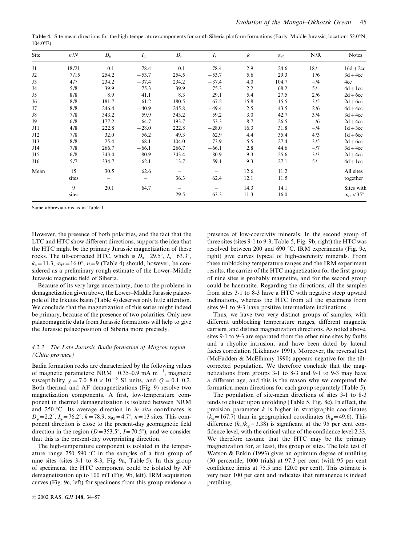Table 4. Site-mean directions for the high-temperature components for south Siberia platform formations (Early–Middle Jurassic; location: 52.0°N,  $104.0^{\circ}$ E).

| Site | n/N   | $D_{\rm g}$ | $I_{\rm g}$ | $D_{\rm s}$ | $I_{\rm s}$ | k    | $\alpha_{95}$ | N/R    | <b>Notes</b>               |
|------|-------|-------------|-------------|-------------|-------------|------|---------------|--------|----------------------------|
| J1   | 18/21 | 0.1         | 78.4        | 0.1         | 78.4        | 2.9  | 24.6          | $18/-$ | $16d + 2cc$                |
| J2   | 7/15  | 254.2       | $-53.7$     | 254.5       | $-53.7$     | 5.6  | 29.3          | 1/6    | $3d + 4cc$                 |
| J3   | 4/7   | 234.2       | $-37.4$     | 234.2       | $-37.4$     | 4.0  | 104.7         | $-14$  | 4cc                        |
| J4   | 5/8   | 39.9        | 75.3        | 39.9        | 75.3        | 2.2  | 68.2          | $5/-$  | $4d + 1cc$                 |
| J5   | 8/8   | 8.9         | 41.1        | 8.3         | 29.1        | 5.4  | 27.5          | 2/6    | $2d + 6cc$                 |
| J6   | 8/8   | 181.7       | $-61.2$     | 180.5       | $-67.2$     | 15.8 | 15.5          | 3/5    | $2d + 6cc$                 |
| J7   | 8/8   | 246.4       | $-40.9$     | 245.8       | $-49.4$     | 2.5  | 43.5          | 2/6    | $4d + 4cc$                 |
| J8   | 7/8   | 343.2       | 59.9        | 343.2       | 59.2        | 3.0  | 42.7          | 3/4    | $3d + 4cc$                 |
| J9   | 6/8   | 177.2       | $-64.7$     | 193.7       | $-53.3$     | 8.7  | 26.5          | $-16$  | $2d + 4cc$                 |
| J11  | 4/8   | 222.8       | $-28.0$     | 222.8       | $-28.0$     | 16.3 | 31.8          | $-14$  | $1d + 3cc$                 |
| J12  | 7/8   | 32.0        | 56.2        | 49.3        | 62.9        | 4.4  | 35.4          | 4/3    | $1d + 6cc$                 |
| J13  | 8/8   | 25.4        | 68.1        | 104.0       | 73.9        | 5.5  | 27.4          | 3/5    | $2d + 6cc$                 |
| J14  | 7/8   | 266.7       | $-66.1$     | 266.7       | $-66.1$     | 2.8  | 44.6          | $-I7$  | $3d + 4cc$                 |
| J15  | 6/8   | 343.4       | 80.9        | 343.4       | 80.9        | 9.3  | 25.6          | 3/3    | $2d + 4cc$                 |
| J16  | 5/7   | 334.7       | 62.1        | 13.7        | 59.1        | 9.3  | 27.1          | $5/-$  | $4d + 1cc$                 |
| Mean | 15    | 30.5        | 62.6        |             |             | 12.6 | 11.2          |        | All sites                  |
|      | sites |             |             | 36.3        | 62.4        | 12.1 | 11.5          |        | together                   |
|      | 9     | 20.1        | 64.7        |             |             | 14.3 | 14.1          |        | Sites with                 |
|      | sites |             |             | 29.5        | 63.3        | 11.3 | 16.0          |        | $\alpha_{95} < 35^{\circ}$ |

Same abbreviations as in Table 1.

However, the presence of both polarities, and the fact that the LTC and HTC show different directions, supports the idea that the HTC might be the primary Jurassic magnetization of these rocks. The tilt-corrected HTC, which is  $D_s = 29.5^\circ$ ,  $I_s = 63.3^\circ$ ,  $k_s=11.3$ ,  $\alpha_{95}=16.0^\circ$ ,  $n=9$  (Table 4) should, however, be considered as a preliminary rough estimate of the Lower–Middle Jurassic magnetic field of Siberia.

Because of its very large uncertainty, due to the problems in demagnetization given above, the Lower–Middle Jurassic palaeopole of the Irkutsk basin (Table 4) deserves only little attention. We conclude that the magnetization of this series might indeed be primary, because of the presence of two polarities. Only new palaeomagnetic data from Jurassic formations will help to give the Jurassic palaeoposition of Siberia more precisely.

#### 4.2.3 The Late Jurassic Badin formation of Mogzon region (Chita province)

Badin formation rocks are characterized by the following values of magnetic parameters:  $NRM = 0.35{\text -}0.9 \text{ mA m}^{-1}$ , magnetic susceptibility  $\chi = 7.0-8.0 \times 10^{-6}$  SI units, and  $Q = 0.1-0.2$ . Both thermal and AF demagnetizations (Fig. 9) resolve two magnetization components. A first, low-temperature component in thermal demagnetization is isolated between NRM and 250 °C. Its average direction in *in situ* coordinates is  $D_g=2.2^{\circ}$ ,  $I_g=76.2^{\circ}$ ;  $k=78.9$ ,  $\alpha_{95}=4.7^{\circ}$ ,  $n=13$  sites. This component direction is close to the present-day geomagnetic field direction in the region ( $D=353.5^{\circ}$ ,  $I=70.5^{\circ}$ ), and we consider that this is the present-day overprinting direction.

The high-temperature component is isolated in the temperature range  $250-590$  °C in the samples of a first group of nine sites (sites 3-1 to 8-3; Fig. 9a, Table 5). In this group of specimens, the HTC component could be isolated by AF demagnetization up to 100 mT (Fig. 9b, left). IRM acquisition curves (Fig. 9c, left) for specimens from this group evidence a

presence of low-coercivity minerals. In the second group of three sites (sites 9-1 to 9-3; Table 5, Fig. 9b, right) the HTC was resolved between 200 and 690 °C. IRM experiments (Fig. 9c, right) give curves typical of high-coercivity minerals. From these unblocking temperature ranges and the IRM experiment results, the carrier of the HTC magnetization for the first group of nine sites is probably magnetite, and for the second group could be haematite. Regarding the directions, all the samples from sites 3-1 to 8-3 have a HTC with negative steep upward inclinations, whereas the HTC from all the specimens from sites 9-1 to 9-3 have positive intermediate inclinations.

Thus, we have two very distinct groups of samples, with different unblocking temperature ranges, different magnetic carriers, and distinct magnetization directions. As noted above, sites 9-1 to 9-3 are separated from the other nine sites by faults and a rhyolite intrusion, and have been dated by lateral facies correlation (Likhanov 1991). Moreover, the reversal test (McFadden & McElhinny 1990) appears negative for the tiltcorrected population. We therefore conclude that the magnetizations from groups 3-1 to 8-3 and 9-1 to 9-3 may have a different age, and this is the reason why we computed the formation mean directions for each group separately (Table 5).

The population of site-mean directions of sites 3-1 to 8-3 tends to cluster upon unfolding (Table 5, Fig. 8c). In effect, the precision parameter  $k$  is higher in stratigraphic coordinates  $(k<sub>s</sub>=167.7)$  than in geographical coordinates  $(k<sub>g</sub>=49.6)$ . This difference  $(k_s / k_g = 3.38)$  is significant at the 95 per cent confidence level, with the critical value of the confidence level 2.33. We therefore assume that the HTC may be the primary magnetization for, at least, this group of sites. The fold test of Watson & Enkin (1993) gives an optimum degree of untilting (50 percentile, 1000 trials) at 97.3 per cent (with 95 per cent confidence limits at 75.5 and 120.0 per cent). This estimate is very near 100 per cent and indicates that remanence is indeed pretilting.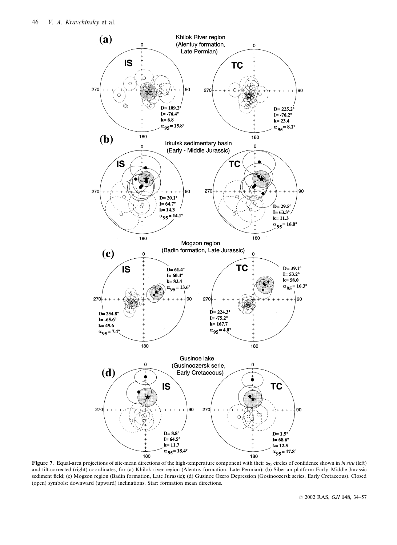

Figure 7. Equal-area projections of site-mean directions of the high-temperature component with their  $\alpha_{95}$  circles of confidence shown in *in situ* (left) and tilt-corrected (right) coordinates, for (a) Khilok river region (Alentuy formation, Late Permian); (b) Siberian platform Early–Middle Jurassic sediment field; (c) Mogzon region (Badin formation, Late Jurassic); (d) Gusinoe Ozero Depression (Gosinoozersk series, Early Cretaceous). Closed (open) symbols: downward (upward) inclinations. Star: formation mean directions.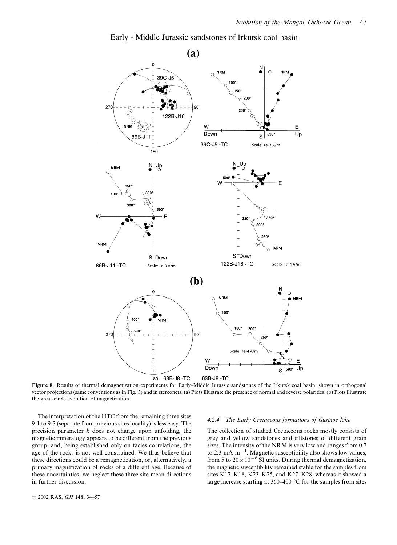

Early - Middle Jurassic sandstones of Irkutsk coal basin

Figure 8. Results of thermal demagnetization experiments for Early–Middle Jurassic sandstones of the Irkutsk coal basin, shown in orthogonal vector projections (same conventions as in Fig. 3) and in stereonets. (a) Plots illustrate the presence of normal and reverse polarities. (b) Plots illustrate the great-circle evolution of magnetization.

The interpretation of the HTC from the remaining three sites 9-1 to 9-3 (separate from previous sites locality) is less easy. The precision parameter  $k$  does not change upon unfolding, the magnetic mineralogy appears to be different from the previous group, and, being established only on facies correlations, the age of the rocks is not well constrained. We thus believe that these directions could be a remagnetization, or, alternatively, a primary magnetization of rocks of a different age. Because of these uncertainties, we neglect these three site-mean directions in further discussion.

#### 4.2.4 The Early Cretaceous formations of Gusinoe lake

The collection of studied Cretaceous rocks mostly consists of grey and yellow sandstones and siltstones of different grain sizes. The intensity of the NRM is very low and ranges from 0.7 to 2.3 mA  $m^{-1}$ . Magnetic susceptibility also shows low values, from 5 to  $20 \times 10^{-6}$  SI units. During thermal demagnetization, the magnetic susceptibility remained stable for the samples from sites K17–K18, K23–K25, and K27–K28, whereas it showed a large increase starting at  $360-400$  °C for the samples from sites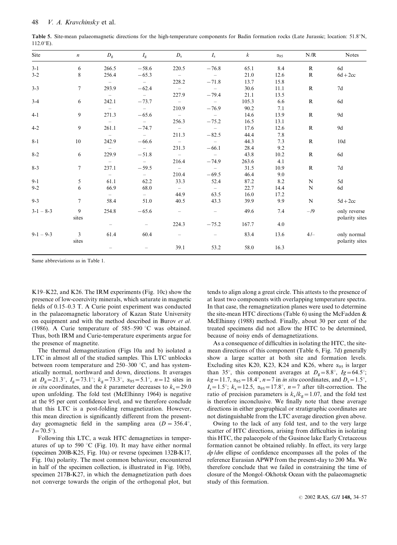Table 5. Site-mean palaeomagnetic directions for the high-temperature components for Badin formation rocks (Late Jurassic; location: 51.8°N,  $112.0^{\circ}$ E).

| Site        | $\boldsymbol{n}$        | $D_{\rm g}$              | $I_{\rm g}$              | $D_{\rm s}$              | $I_{\rm s}$              | $\boldsymbol{k}$ | $\alpha$ 95 | N/R          | <b>Notes</b>                   |
|-------------|-------------------------|--------------------------|--------------------------|--------------------------|--------------------------|------------------|-------------|--------------|--------------------------------|
| $3-1$       | 6                       | 266.5                    | $-58.6$                  | 220.5                    | $-76.8$                  | 65.1             | 8.4         | $\mathbf{R}$ | 6d                             |
| $3 - 2$     | 8                       | 256.4                    | $-65.3$                  | $\sim$                   | $ \,$                    | 21.0             | 12.6        | $\mathbf{R}$ | $6d + 2cc$                     |
|             |                         |                          | $\overline{\phantom{a}}$ | 228.2                    | $-71.8$                  | 13.7             | 15.8        |              |                                |
| $3 - 3$     | $7\overline{ }$         | 293.9                    | $-62.4$                  | $\overline{\phantom{0}}$ | $\overline{\phantom{0}}$ | 30.6             | 11.1        | $\mathbf R$  | 7d                             |
|             |                         | $ \,$                    | $\equiv$                 | 227.9                    | $-79.4$                  | 21.1             | 13.5        |              |                                |
| $3-4$       | 6                       | 242.1                    | $-73.7$                  | $\overline{a}$           | $\equiv$                 | 105.3            | 6.6         | R            | 6d                             |
|             |                         | $\overline{\phantom{a}}$ | $\overline{\phantom{a}}$ | 210.9                    | $-76.9$                  | 90.2             | 7.1         |              |                                |
| $4-1$       | 9                       | 271.3                    | $-65.6$                  | $\overline{a}$           | $\sim$                   | 14.6             | 13.9        | $\mathbb{R}$ | 9d                             |
|             |                         | $\sim$                   | $\sim$                   | 256.3                    | $-75.2$                  | 16.5             | 13.1        |              |                                |
| $4 - 2$     | 9                       | 261.1                    | $-74.7$                  | $\overline{a}$           | $\overline{\phantom{0}}$ | 17.6             | 12.6        | $\mathbb{R}$ | 9d                             |
|             |                         | $\sim$                   | $\equiv$                 | 211.3                    | $-82.5$                  | 44.4             | 7.8         |              |                                |
| $8-1$       | 10                      | 242.9                    | $-66.6$                  | $\sim$                   | $\equiv$                 | 44.3             | 7.3         | $\mathbb{R}$ | 10d                            |
|             |                         | $\equiv$                 | $\sim$                   | 231.3                    | $-66.1$                  | 28.4             | 9.2         |              |                                |
| $8 - 2$     | 6                       | 229.9                    | $-51.8$                  | $\sim$                   | $\equiv$                 | 43.8             | 10.2        | $\mathbb{R}$ | 6d                             |
|             |                         | $\overline{\phantom{a}}$ | $\sim$                   | 216.4                    | $-74.9$                  | 263.6            | 4.1         |              |                                |
| $8 - 3$     | $7\phantom{.0}$         | 237.1                    | $-59.5$                  | $\sim$                   | $\equiv$                 | 31.5             | 10.9        | $\mathbb{R}$ | 7d                             |
|             |                         | $ \,$                    | $ \,$                    | 210.4                    | $-69.5$                  | 46.4             | 9.0         |              |                                |
| $9-1$       | 5                       | 61.1                     | 62.2                     | 33.3                     | 52.4                     | 87.2             | 8.2         | N            | 5d                             |
| $9 - 2$     | 6                       | 66.9                     | 68.0                     | $\overline{\phantom{0}}$ | $\overline{\phantom{a}}$ | 22.7             | 14.4        | N            | 6d                             |
|             |                         | $\sim$                   | $\sim$                   | 44.9                     | 63.5                     | 16.0             | 17.2        |              |                                |
| $9 - 3$     | $7\overline{ }$         | 58.4                     | 51.0                     | 40.5                     | 43.3                     | 39.9             | 9.9         | ${\bf N}$    | $5d + 2cc$                     |
| $3-1 - 8-3$ | 9<br>sites              | 254.8                    | $-65.6$                  | $\equiv$                 | $\overline{\phantom{0}}$ | 49.6             | 7.4         | $-19$        | only reverse<br>polarity sites |
|             |                         |                          | $\overline{\phantom{m}}$ | 224.3                    | $-75.2$                  | 167.7            | 4.0         |              |                                |
| $9-1 - 9-3$ | $\overline{3}$<br>sites | 61.4                     | 60.4                     | $\overline{\phantom{0}}$ |                          | 83.4             | 13.6        | $4/-$        | only normal<br>polarity sites  |
|             |                         |                          |                          | 39.1                     | 53.2                     | 58.0             | 16.3        |              |                                |

Same abbreviations as in Table 1.

K19–K22, and K26. The IRM experiments (Fig. 10c) show the presence of low-coercivity minerals, which saturate in magnetic fields of 0.15–0.3 T. A Curie point experiment was conducted in the palaeomagnetic laboratory of Kazan State University on equipment and with the method described in Burov et al. (1986). A Curie temperature of  $585-590$  °C was obtained. Thus, both IRM and Curie-temperature experiments argue for the presence of magnetite.

The thermal demagnetization (Figs 10a and b) isolated a LTC in almost all of the studied samples. This LTC unblocks between room temperature and  $250-300$  °C, and has systematically normal, northward and down, directions. It averages at  $D_g=21.3^\circ$ ,  $I_g=73.1^\circ$ ;  $k_g=73.3^\circ$ ,  $\alpha_{95}=5.1^\circ$ ,  $n=12$  sites in in situ coordinates, and the k parameter decreases to  $k_s$  = 29.0 upon unfolding. The fold test (McElhinny 1964) is negative at the 95 per cent confidence level, and we therefore conclude that this LTC is a post-folding remagnetization. However, this mean direction is significantly different from the presentday geomagnetic field in the sampling area  $(D = 356.4^{\circ})$ ,  $I=70.5^{\circ}$ .

Following this LTC, a weak HTC demagnetizes in temperatures of up to 590 °C (Fig. 10). It may have either normal (specimen 200B-K25, Fig. 10a) or reverse (specimen 132B-K17, Fig. 10a) polarity. The most common behaviour, encountered in half of the specimen collection, is illustrated in Fig. 10(b), specimen 217B-K27, in which the demagnetization path does not converge towards the origin of the orthogonal plot, but tends to align along a great circle. This attests to the presence of at least two components with overlapping temperature spectra. In that case, the remagnetization planes were used to determine the site-mean HTC directions (Table 6) using the McFadden  $\&$ McElhinny (1988) method. Finally, about 30 per cent of the treated specimens did not allow the HTC to be determined, because of noisy ends of demagnetizations.

As a consequence of difficulties in isolating the HTC, the sitemean directions of this component (Table 6, Fig. 7d) generally show a large scatter at both site and formation levels. Excluding sites K20, K23, K24 and K26, where  $\alpha_{95}$  is larger than 35°, this component averages at  $D<sub>g</sub>=8.8$ °,  $I<sub>g</sub>=64.5$ °;  $kg=11.7$ ,  $\alpha_{95}=18.4^{\circ}$ ,  $n=7$  in *in situ* coordinates, and  $D_s=1.5^{\circ}$ ,  $I<sub>s</sub>=1.5^\circ$ ;  $k<sub>s</sub>=12.5$ ,  $\alpha_{95}=17.8^\circ$ ,  $n=7$  after tilt-correction. The ratio of precision parameters is  $k_s / k_g = 1.07$ , and the fold test is therefore inconclusive. We finally note that these average directions in either geographical or stratigraphic coordinates are not distinguishable from the LTC average direction given above.

Owing to the lack of any fold test, and to the very large scatter of HTC directions, arising from difficulties in isolating this HTC, the palaeopole of the Gusinoe lake Early Cretaceous formation cannot be obtained reliably. In effect, its very large dp /dm ellipse of confidence encompasses all the poles of the reference Eurasian APWP from the present-day to 200 Ma. We therefore conclude that we failed in constraining the time of closure of the Mongol–Okhotsk Ocean with the palaeomagnetic study of this formation.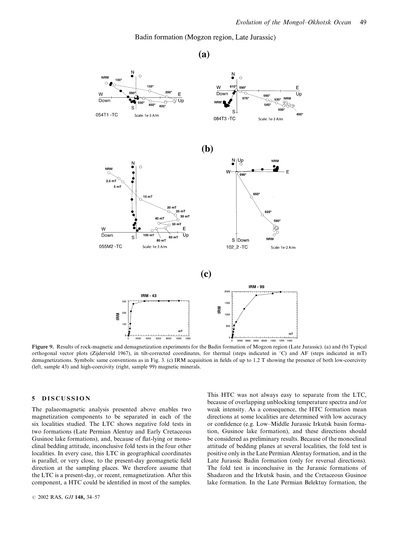Ë

Up

 $400$ 

Badin formation (Mogzon region, Late Jurassic)

 $\overline{a}$  $\triangle$ 150 w 610 Down E 5651 530°  $\overline{\mathtt{U}}$ c 550 450 545  $400$  $\mathbf{s}$  $\mathbf{S}$ Scale: 1e-3 A/m 084T3-TC Scale: 1e-3 A/m  $(b)$ ျပ္ပ **NRM**  $\epsilon$ 650°  $10<sub>m1</sub>$  $25 m$ 625  $30 m1$ 590 50 m<sub>1</sub> ⋩ F Ūr  $\mathbf{S}$  $100<sub>m</sub>$ 60 mT NRM S Down  $80<sub>m</sub>$ Scale: 1e-3 A/m 102\_2 -TC Scale: 1e-2 A/m

 $(a)$ 



Figure 9. Results of rock-magnetic and demagnetization experiments for the Badin formation of Mogzon region (Late Jurassic). (a) and (b) Typical orthogonal vector plots (Zijderveld 1967), in tilt-corrected coordinates, for thermal (steps indicated in °C) and AF (steps indicated in mT) demagnetizations. Symbols: same conventions as in Fig. 3. (c) IRM acquisition in fields of up to 1.2 T showing the presence of both low-coercivity (left, sample 43) and high-coercivity (right, sample 99) magnetic minerals.

# 5 DISCUSSION

The palaeomagnetic analysis presented above enables two magnetization components to be separated in each of the six localities studied. The LTC shows negative fold tests in two formations (Late Permian Alentuy and Early Cretaceous Gusinoe lake formations), and, because of flat-lying or monoclinal bedding attitude, inconclusive fold tests in the four other localities. In every case, this LTC in geographical coordinates is parallel, or very close, to the present-day geomagnetic field direction at the sampling places. We therefore assume that the LTC is a present-day, or recent, remagnetization. After this component, a HTC could be identified in most of the samples.

**NRM** 

W

Down

054T1-TC

**NRM**  $2.5 m1$  $5<sub>m</sub>$ 

W

 $\overline{Dowr}$ 

055M2 -TC

This HTC was not always easy to separate from the LTC, because of overlapping unblocking temperature spectra and /or weak intensity. As a consequence, the HTC formation mean directions at some localities are determined with low accuracy or confidence (e.g. Low–Middle Jurassic Irkutsk basin formation, Gusinoe lake formation), and these directions should be considered as preliminary results. Because of the monoclinal attitude of bedding planes at several localities, the fold test is positive only in the Late Permian Alentuy formation, and in the Late Jurassic Badin formation (only for reversal directions). The fold test is inconclusive in the Jurassic formations of Shadaron and the Irkutsk basin, and the Cretaceous Gusinoe lake formation. In the Late Permian Belektuy formation, the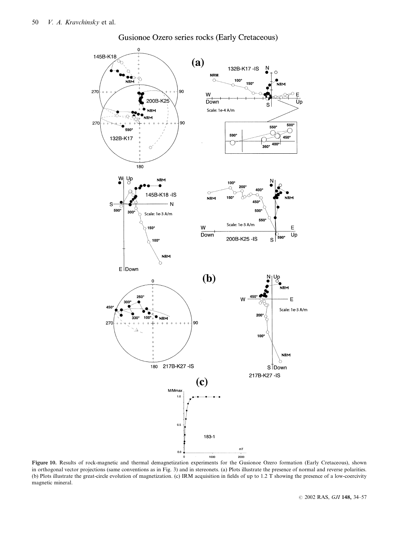

Gusionoe Ozero series rocks (Early Cretaceous)

Figure 10. Results of rock-magnetic and thermal demagnetization experiments for the Gusionoe Ozero formation (Early Cretaceous), shown in orthogonal vector projections (same conventions as in Fig. 3) and in stereonets. (a) Plots illustrate the presence of normal and reverse polarities. (b) Plots illustrate the great-circle evolution of magnetization. (c) IRM acquisition in fields of up to 1.2 T showing the presence of a low-coercivity magnetic mineral.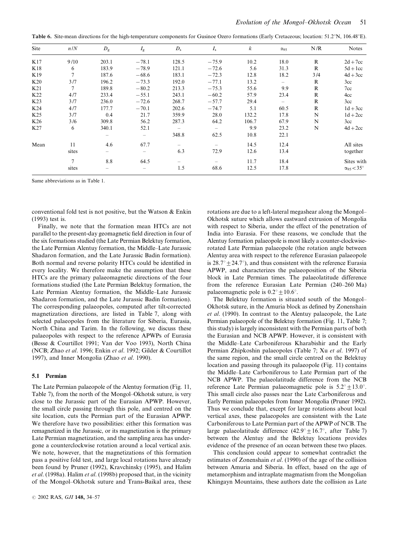Table 6. Site-mean directions for the high-temperature components for Gusinoe Ozero formations (Early Cretaceous; location: 51.2°N, 106.48°E).

| Site            | n/N    | $D_{\rm g}$              | $I_{\rm g}$ | $D_{\rm s}$ | $I_{\rm s}$              | $\boldsymbol{k}$ | $\alpha_{95}$            | N/R          | <b>Notes</b>               |
|-----------------|--------|--------------------------|-------------|-------------|--------------------------|------------------|--------------------------|--------------|----------------------------|
| K17             | 9/10   | 203.1                    | $-78.1$     | 128.5       | $-75.9$                  | 10.2             | 18.0                     | R            | $2d+7cc$                   |
| K18             | 6      | 183.9                    | $-78.9$     | 121.1       | $-72.6$                  | 5.6              | 31.3                     | $\mathbb{R}$ | $5d + 1cc$                 |
| K19             | 7      | 187.6                    | $-68.6$     | 183.1       | $-72.3$                  | 12.8             | 18.2                     | 3/4          | $4d + 3cc$                 |
| K20             | 3/7    | 196.2                    | $-73.3$     | 192.0       | $-77.1$                  | 13.2             | $\overline{\phantom{0}}$ | R            | 3 <sub>cc</sub>            |
| K <sub>21</sub> | 7      | 189.8                    | $-80.2$     | 213.3       | $-75.3$                  | 55.6             | 9.9                      | R            | 7cc                        |
| K22             | 4/7    | 233.4                    | $-55.1$     | 243.1       | $-60.2$                  | 57.9             | 23.4                     | $\mathbb{R}$ | 4cc                        |
| K <sub>23</sub> | 3/7    | 236.0                    | $-72.6$     | 268.7       | $-57.7$                  | 29.4             |                          | $\mathbb{R}$ | 3cc                        |
| K24             | 4/7    | 177.7                    | $-70.1$     | 202.6       | $-74.7$                  | 5.1              | 60.5                     | $\mathbb{R}$ | $1d + 3cc$                 |
| K <sub>25</sub> | 3/7    | 0.4                      | 21.7        | 359.9       | 28.0                     | 132.2            | 17.8                     | N            | $1d+2cc$                   |
| K <sub>26</sub> | 3/6    | 309.8                    | 56.2        | 287.3       | 64.2                     | 106.7            | 67.9                     | N            | 3cc                        |
| K27             | 6      | 340.1                    | 52.1        |             | $\overline{\phantom{0}}$ | 9.9              | 23.2                     | N            | $4d + 2cc$                 |
|                 |        |                          |             | 348.8       | 62.5                     | 10.8             | 22.1                     |              |                            |
| Mean            | 11     | 4.6                      | 67.7        |             |                          | 14.5             | 12.4                     |              | All sites                  |
|                 | sites  | $\overline{\phantom{0}}$ |             | 6.3         | 72.9                     | 12.6             | 13.4                     |              | together                   |
|                 | $\tau$ | 8.8                      | 64.5        |             |                          | 11.7             | 18.4                     |              | Sites with                 |
|                 | sites  |                          |             | 1.5         | 68.6                     | 12.5             | 17.8                     |              | $\alpha_{95} < 35^{\circ}$ |

Same abbreviations as in Table 1.

conventional fold test is not positive, but the Watson & Enkin (1993) test is.

Finally, we note that the formation mean HTCs are not parallel to the present-day geomagnetic field direction in four of the six formations studied (the Late Permian Belektuy formation, the Late Permian Alentuy formation, the Middle–Late Jurassic Shadaron formation, and the Late Jurassic Badin formation). Both normal and reverse polarity HTCs could be identified in every locality. We therefore make the assumption that these HTCs are the primary palaeomagnetic directions of the four formations studied (the Late Permian Belektuy formation, the Late Permian Alentuy formation, the Middle–Late Jurassic Shadaron formation, and the Late Jurassic Badin formation). The corresponding palaeopoles, computed after tilt-corrected magnetization directions, are listed in Table 7, along with selected palaeopoles from the literature for Siberia, Eurasia, North China and Tarim. In the following, we discuss these palaeopoles with respect to the reference APWPs of Eurasia (Besse & Courtillot 1991; Van der Voo 1993), North China (NCB; Zhao et al. 1996; Enkin et al. 1992; Gilder & Courtillot 1997), and Inner Mongolia (Zhao et al. 1990).

#### 5.1 Permian

The Late Permian palaeopole of the Alentuy formation (Fig. 11, Table 7), from the north of the Mongol–Okhotsk suture, is very close to the Jurassic part of the Eurasian APWP. However, the small circle passing through this pole, and centred on the site location, cuts the Permian part of the Eurasian APWP. We therefore have two possibilities: either this formation was remagnetized in the Jurassic, or its magnetization is the primary Late Permian magnetization, and the sampling area has undergone a counterclockwise rotation around a local vertical axis. We note, however, that the magnetizations of this formation pass a positive fold test, and large local rotations have already been found by Pruner (1992), Kravchinsky (1995), and Halim et al. (1998a). Halim et al. (1998b) proposed that, in the vicinity of the Mongol–Okhotsk suture and Trans-Baikal area, these

rotations are due to a left-lateral megashear along the Mongol– Okhotsk suture which allows eastward extrusion of Mongolia with respect to Siberia, under the effect of the penetration of India into Eurasia. For these reasons, we conclude that the Alentuy formation palaeopole is most likely a counter-clockwiserotated Late Permian palaeopole (the rotation angle between Alentuy area with respect to the reference Eurasian palaeopole is  $28.7^{\circ} \pm 24.7^{\circ}$ ), and thus consistent with the reference Eurasia APWP, and characterizes the palaeoposition of the Siberia block in Late Permian times. The palaeolatitude difference from the reference Eurasian Late Permian (240–260 Ma) palaeomagnetic pole is  $0.2^{\circ} \pm 10.6^{\circ}$ .

The Belektuy formation is situated south of the Mongol– Okhotsk suture, in the Amuria block as defined by Zonenshain et al. (1990). In contrast to the Alentuy palaeopole, the Late Permian palaeopole of the Belektuy formation (Fig. 11, Table 7; this study) is largely inconsistent with the Permian parts of both the Eurasian and NCB APWP. However, it is consistent with the Middle–Late Carboniferous Kharabishir and the Early Permian Zhipkoshin palaeopoles (Table 7; Xu et al. 1997) of the same region, and the small circle centred on the Belektuy location and passing through its palaeopole (Fig. 11) contains the Middle–Late Carboniferous to Late Permian part of the NCB APWP. The palaeolatitude difference from the NCB reference Late Permian palaeomagnetic pole is  $5.2^{\circ} + 13.0^{\circ}$ . This small circle also passes near the Late Carboniferous and Early Permian palaeopoles from Inner Mongolia (Pruner 1992). Thus we conclude that, except for large rotations about local vertical axes, these palaeopoles are consistent with the Late Carboniferous to Late Permian part of the APWP of NCB. The large palaeolatitude difference  $(42.9^{\circ} \pm 16.7^{\circ})$ , after Table 7) between the Alentuy and the Belektuy locations provides evidence of the presence of an ocean between these two places.

This conclusion could appear to somewhat contradict the estimates of Zonenshain et al. (1990) of the age of the collision between Amuria and Siberia. In effect, based on the age of metamorphism and intraplate magmatism from the Mongolian Khingayn Mountains, these authors date the collision as Late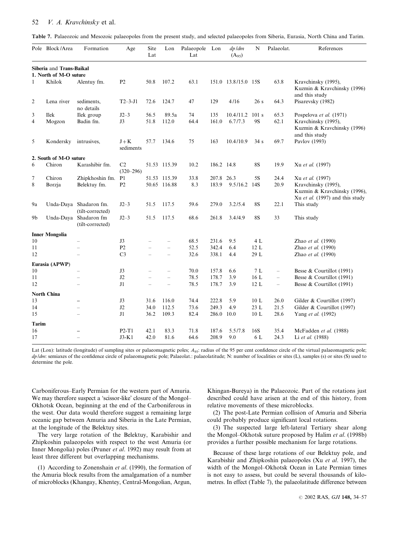## 52 V. A. Kravchinsky et al.

|  |  | <b>Table 7.</b> Palaeozoic and Mesozoic palaeopoles from the present study, and selected palaeopoles from Siberia, Eurasia, North China and Tarim. |  |
|--|--|----------------------------------------------------------------------------------------------------------------------------------------------------|--|
|--|--|----------------------------------------------------------------------------------------------------------------------------------------------------|--|

|                | Pole Block/Area                  | Formation                                  | Age                  | Site<br>Lat | Lon                      | Palaeopole Lon<br>Lat |            | $dp$ $/dm$<br>$(A_{95})$ | N         | Palaeolat.               | References                                                                             |
|----------------|----------------------------------|--------------------------------------------|----------------------|-------------|--------------------------|-----------------------|------------|--------------------------|-----------|--------------------------|----------------------------------------------------------------------------------------|
|                | Siberia and Trans-Baikal         |                                            |                      |             |                          |                       |            |                          |           |                          |                                                                                        |
| $\mathbf{1}$   | 1. North of M-O suture<br>Khilok | Alentuy fm.                                | P <sub>2</sub>       | 50.8        | 107.2                    | 63.1                  |            | 151.0 13.8/15.0 15S      |           | 63.8                     | Kravchinsky (1995),<br>Kuzmin & Kravchinsky (1996)<br>and this study                   |
| $\overline{2}$ | Lena river                       | sediments.<br>no details                   | $T2 - 3 - J1$        | 72.6        | 124.7                    | 47                    | 129        | 4/16                     | 26s       | 64.3                     | Pisarevsky (1982)                                                                      |
| 3              | <b>Ilek</b>                      | Ilek group                                 | $J2-3$               | 56.5        | 89.5a                    | 74                    | 135        | 10.4/11.2                | 101 s     | 65.3                     | Pospelova et al. (1971)                                                                |
| $\overline{4}$ | Mogzon                           | Badin fm.                                  | J3                   | 51.8        | 112.0                    | 64.4                  | 161.0      | 6.7/7.3                  | 9S        | 62.1                     | Kravchinsky (1995),<br>Kuzmin & Kravchinsky (1996)<br>and this study                   |
| 5              | Kondersky                        | intrusives,                                | $J + K$<br>sediments | 57.7        | 134.6                    | 75                    | 163        | 10.4/10.9                | 34s       | 69.7                     | Pavlov (1993)                                                                          |
|                | 2. South of M-O suture           |                                            |                      |             |                          |                       |            |                          |           |                          |                                                                                        |
| 6              | Chiron                           | Karashibir fm.                             | C2<br>$(320 - 296)$  |             | 51.53 115.39             | 10.2                  | 186.2 14.8 |                          | 8S        | 19.9                     | Xu et al. (1997)                                                                       |
| 7              | Chiron                           | Zhipkhoshin fm.                            | P <sub>1</sub>       |             | 51.53 115.39             | 33.8                  | 207.8 26.3 |                          | 5S        | 24.4                     | Xu et al. (1997)                                                                       |
| 8              | Borzja                           | Belektuy fm.                               | P2                   |             | 50.65 116.88             | 8.3                   | 183.9      | 9.5/16.2 14S             |           | 20.9                     | Kravchinsky (1995),<br>Kuzmin & Kravchinsky (1996),<br>Xu et al. (1997) and this study |
| 9a             |                                  | Unda-Daya Shadaron fm.<br>(tilt-corrected) | $J2-3$               | 51.5        | 117.5                    | 59.6                  | 279.0      | 3.2/5.4                  | <b>8S</b> | 22.1                     | This study                                                                             |
| 9b             |                                  | Unda-Daya Shadaron fm<br>(tilt-corrected)  | $J2-3$               | 51.5        | 117.5                    | 68.6                  | 261.8      | 3.4/4.9                  | <b>8S</b> | 33                       | This study                                                                             |
|                | <b>Inner Mongolia</b>            |                                            |                      |             |                          |                       |            |                          |           |                          |                                                                                        |
| 10             |                                  | L,                                         | J3                   |             |                          | 68.5                  | 231.6      | 9.5                      | 4 L       |                          | Zhao et al. (1990)                                                                     |
| 11             |                                  |                                            | P <sub>2</sub>       |             | $\overline{\phantom{a}}$ | 52.5                  | 342.4      | 6.4                      | 12L       |                          | Zhao et al. (1990)                                                                     |
| 12             |                                  |                                            | C <sub>3</sub>       |             | $\sim$                   | 32.6                  | 338.1      | 4.4                      | 29 L      |                          | Zhao et al. (1990)                                                                     |
|                | Eurasia (APWP)                   |                                            |                      |             |                          |                       |            |                          |           |                          |                                                                                        |
| 10             |                                  |                                            | J3                   |             |                          | 70.0                  | 157.8      | 6.6                      | 7L        | $\overline{\phantom{0}}$ | Besse & Courtillot (1991)                                                              |
| 11             |                                  |                                            | J2                   |             | $\equiv$                 | 78.5                  | 178.7      | 3.9                      | 16 L      | $\overline{\phantom{0}}$ | Besse & Courtillot (1991)                                                              |
| 12             |                                  |                                            | J1                   |             | $\overline{\phantom{0}}$ | 78.5                  | 178.7      | 3.9                      | 12L       | $\overline{\phantom{0}}$ | Besse & Courtillot (1991)                                                              |
|                | <b>North China</b>               |                                            |                      |             |                          |                       |            |                          |           |                          |                                                                                        |
| 13             |                                  | -                                          | J3                   | 31.6        | 116.0                    | 74.4                  | 222.8      | 5.9                      | 10 L      | 26.0                     | Gilder & Courtillot (1997)                                                             |
| 14             |                                  |                                            | J2                   | 34.0        | 112.5                    | 73.6                  | 249.3      | 4.9                      | 23 L      | 21.5                     | Gilder & Courtillot (1997)                                                             |
| 15             |                                  |                                            | J1                   | 36.2        | 109.3                    | 82.4                  | 286.0 10.0 |                          | $10$ L    | 28.6                     | Yang et al. (1992)                                                                     |
| Tarim          |                                  |                                            |                      |             |                          |                       |            |                          |           |                          |                                                                                        |
| 16             |                                  |                                            | $P2-T1$              | 42.1        | 83.3                     | 71.8                  | 187.6      | 5.5/7.8                  | 16S       | 35.4                     | McFadden et al. (1988)                                                                 |
| 17             |                                  | L                                          | $J3-K1$              | 42.0        | 81.6                     | 64.6                  | 208.9      | 9.0                      | 6 L       | 24.3                     | Li et al. (1988)                                                                       |

Lat (Lon): latitude (longitude) of sampling sites or palaeomagnetic poles;  $A_{95}$ : radius of the 95 per cent confidence circle of the virtual palaeomagnetic pole;  $dp$  /dm: semiaxes of the confidence circle of palaeomagnetic pole; Palaeolat.: palaeolatitude; N: number of localities or sites (L), samples (s) or sites (S) used to determine the pole.

Carboniferous–Early Permian for the western part of Amuria. We may therefore suspect a 'scissor-like' closure of the Mongol– Okhotsk Ocean, beginning at the end of the Carboniferous in the west. Our data would therefore suggest a remaining large oceanic gap between Amuria and Siberia in the Late Permian, at the longitude of the Belektuy sites.

The very large rotation of the Belektuy, Karabishir and Zhipkoshin palaeopoles with respect to the west Amuria (or Inner Mongolia) poles (Pruner et al. 1992) may result from at least three different but overlapping mechanisms.

(1) According to Zonenshain et al. (1990), the formation of the Amuria block results from the amalgamation of a number of microblocks (Khangay, Khentey, Central-Mongolian, Argun,

Khingan-Bureya) in the Palaeozoic. Part of the rotations just described could have arisen at the end of this history, from relative movements of these microblocks.

(2) The post-Late Permian collision of Amuria and Siberia could probably produce significant local rotations.

(3) The suspected large left-lateral Tertiary shear along the Mongol-Okhotsk suture proposed by Halim et al. (1998b) provides a further possible mechanism for large rotations.

Because of these large rotations of our Belektuy pole, and Karabishir and Zhipkoshin palaeopoles (Xu et al. 1997), the width of the Mongol–Okhotsk Ocean in Late Permian times is not easy to assess, but could be several thousands of kilometres. In effect (Table 7), the palaeolatitude difference between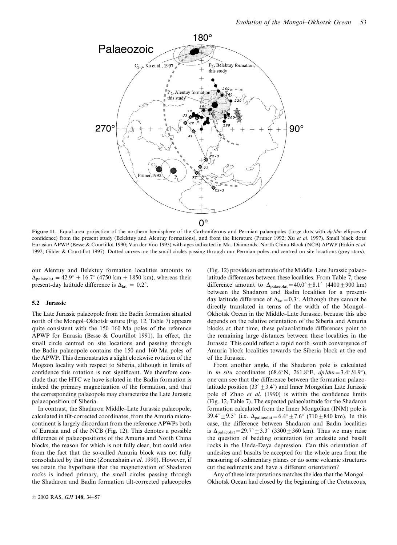

Figure 11. Equal-area projection of the northern hemisphere of the Carboniferous and Permian palaeopoles (large dots with  $dp/dm$  ellipses of confidence) from the present study (Belektuy and Alentuy formations), and from the literature (Pruner 1992; Xu et al. 1997). Small black dots: Eurasian APWP (Besse & Courtillot 1990; Van der Voo 1993) with ages indicated in Ma. Diamonds: North China Block (NCB) APWP (Enkin et al. 1992; Gilder & Courtillot 1997). Dotted curves are the small circles passing through our Permian poles and centred on site locations (grey stars).

our Alentuy and Belektuy formation localities amounts to  $\Delta_{\text{nalaeolar}} = 42.9^{\circ} \pm 16.7^{\circ}$  (4750 km  $\pm$  1850 km), whereas their present-day latitude difference is  $\Delta_{\text{lat}} = 0.2^{\circ}$ .

#### 5.2 Jurassic

The Late Jurassic palaeopole from the Badin formation situated north of the Mongol–Okhotsk suture (Fig. 12, Table 7) appears quite consistent with the 150–160 Ma poles of the reference APWP for Eurasia (Besse & Courtillot 1991). In effect, the small circle centred on site locations and passing through the Badin palaeopole contains the 150 and 160 Ma poles of the APWP. This demonstrates a slight clockwise rotation of the Mogzon locality with respect to Siberia, although in limits of confidence this rotation is not significant. We therefore conclude that the HTC we have isolated in the Badin formation is indeed the primary magnetization of the formation, and that the corresponding palaeopole may characterize the Late Jurassic palaeoposition of Siberia.

In contrast, the Shadaron Middle–Late Jurassic palaeopole, calculated in tilt-corrected coordinates, from the Amuria microcontinent is largely discordant from the reference APWPs both of Eurasia and of the NCB (Fig. 12). This denotes a possible difference of palaeopositions of the Amuria and North China blocks, the reason for which is not fully clear, but could arise from the fact that the so-called Amuria block was not fully consolidated by that time (Zonenshain et al. 1990). However, if we retain the hypothesis that the magnetization of Shadaron rocks is indeed primary, the small circles passing through the Shadaron and Badin formation tilt-corrected palaeopoles

(Fig. 12) provide an estimate of the Middle–Late Jurassic palaeolatitude differences between these localities. From Table 7, these difference amount to  $\Delta_{\text{palaeolat}} = 40.0^{\circ} \pm 8.1^{\circ}$  (4400  $\pm$  900 km) between the Shadaron and Badin localities for a presentday latitude difference of  $\Delta_{lat}=0.3^{\circ}$ . Although they cannot be directly translated in terms of the width of the Mongol– Okhotsk Ocean in the Middle–Late Jurassic, because this also depends on the relative orientation of the Siberia and Amuria blocks at that time, these palaeolatitude differences point to the remaining large distances between these localities in the Jurassic. This could reflect a rapid north–south convergence of Amuria block localities towards the Siberia block at the end of the Jurassic.

From another angle, if the Shadaron pole is calculated in *in situ* coordinates (68.6°N, 261.8°E,  $dp/dm = 3.4°/4.9°$ ), one can see that the difference between the formation palaeolatitude position (33 $\degree$   $\pm$  3.4 $\degree$ ) and Inner Mongolian Late Jurassic pole of Zhao et al. (1990) is within the confidence limits (Fig. 12, Table 7). The expected palaeolatitude for the Shadaron formation calculated from the Inner Mongolian (INM) pole is 39.4°  $\pm$  9.5° (i.e.  $\Delta_{\text{palaeolat}} = 6.4$ °  $\pm$  7.6° (710  $\pm$  840 km). In this case, the difference between Shadaron and Badin localities is  $\Delta_{\text{palaeolat}} = 29.7^{\circ} \pm 3.3^{\circ}$  (3300  $\pm$  360 km). Thus we may raise the question of bedding orientation for andesite and basalt rocks in the Unda-Daya depression. Can this orientation of andesites and basalts be accepted for the whole area from the measuring of sedimentary planes or do some volcanic structures cut the sediments and have a different orientation?

Any of these interpretations matches the idea that the Mongol– Okhotsk Ocean had closed by the beginning of the Cretaceous,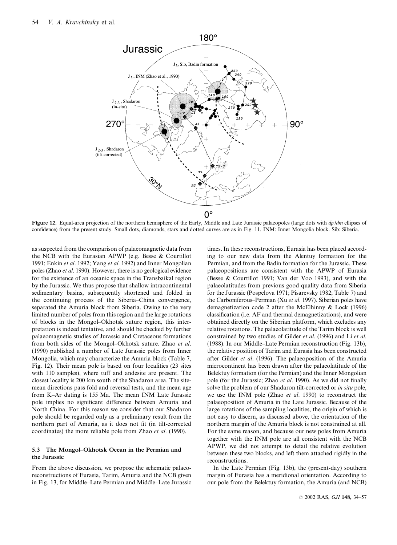

Figure 12. Equal-area projection of the northern hemisphere of the Early, Middle and Late Jurassic palaeopoles (large dots with  $dp/dm$  ellipses of confidence) from the present study. Small dots, diamonds, stars and dotted curves are as in Fig. 11. INM: Inner Mongolia block. Sib: Siberia.

as suspected from the comparison of palaeomagnetic data from the NCB with the Eurasian APWP (e.g. Besse & Courtillot 1991; Enkin et al. 1992; Yang et al. 1992) and Inner Mongolian poles (Zhao et al. 1990). However, there is no geological evidence for the existence of an oceanic space in the Transbaikal region by the Jurassic. We thus propose that shallow intracontinental sedimentary basins, subsequently shortened and folded in the continuing process of the Siberia–China convergence, separated the Amuria block from Siberia. Owing to the very limited number of poles from this region and the large rotations of blocks in the Mongol–Okhotsk suture region, this interpretation is indeed tentative, and should be checked by further palaeomagnetic studies of Jurassic and Cretaceous formations from both sides of the Mongol–Okhotsk suture. Zhao et al. (1990) published a number of Late Jurassic poles from Inner Mongolia, which may characterize the Amuria block (Table 7, Fig. 12). Their mean pole is based on four localities (23 sites with 110 samples), where tuff and andesite are present. The closest locality is 200 km south of the Shadaron area. The sitemean directions pass fold and reversal tests, and the mean age from K–Ar dating is 155 Ma. The mean INM Late Jurassic pole implies no significant difference between Amuria and North China. For this reason we consider that our Shadaron pole should be regarded only as a preliminary result from the northern part of Amuria, as it does not fit (in tilt-corrected coordinates) the more reliable pole from Zhao et al. (1990).

#### 5.3 The Mongol–Okhotsk Ocean in the Permian and the Jurassic

From the above discussion, we propose the schematic palaeoreconstructions of Eurasia, Tarim, Amuria and the NCB given in Fig. 13, for Middle–Late Permian and Middle–Late Jurassic

times. In these reconstructions, Eurasia has been placed according to our new data from the Alentuy formation for the Permian, and from the Badin formation for the Jurassic. These palaeopositions are consistent with the APWP of Eurasia (Besse & Courtillot 1991; Van der Voo 1993), and with the palaeolatitudes from previous good quality data from Siberia for the Jurassic (Pospelova 1971; Pisarevsky 1982; Table 7) and the Carboniferous–Permian (Xu et al. 1997). Siberian poles have demagnetization code 2 after the McElhinny & Lock (1996) classification (i.e. AF and thermal demagnetizations), and were obtained directly on the Siberian platform, which excludes any relative rotations. The palaeolatitude of the Tarim block is well constrained by two studies of Gilder et al. (1996) and Li et al. (1988). In our Middle–Late Permian reconstruction (Fig. 13b), the relative position of Tarim and Eurasia has been constructed after Gilder et al. (1996). The palaeoposition of the Amuria microcontinent has been drawn after the palaeolatitude of the Belektuy formation (for the Permian) and the Inner Mongolian pole (for the Jurassic; Zhao et al. 1990). As we did not finally solve the problem of our Shadaron tilt-corrected or in situ pole, we use the INM pole (Zhao et al. 1990) to reconstruct the palaeoposition of Amuria in the Late Jurassic. Because of the large rotations of the sampling localities, the origin of which is not easy to discern, as discussed above, the orientation of the northern margin of the Amuria block is not constrained at all. For the same reason, and because our new poles from Amuria together with the INM pole are all consistent with the NCB APWP, we did not attempt to detail the relative evolution between these two blocks, and left them attached rigidly in the reconstructions.

In the Late Permian (Fig. 13b), the (present-day) southern margin of Eurasia has a meridional orientation. According to our pole from the Belektuy formation, the Amuria (and NCB)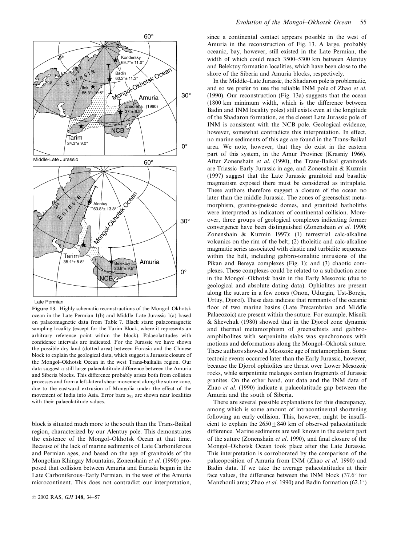

Late Permian

Figure 13. Highly schematic reconstructions of the Mongol–Okhotsk ocean in the Late Permian 1(b) and Middle–Late Jurassic 1(a) based on palaeomagnetic data from Table 7. Black stars: palaeomagnetic sampling locality (except for the Tarim Block, where it represents an arbitrary reference point within the block). Palaeolatitudes with confidence intervals are indicated. For the Jurassic we have shown the possible dry land (dotted area) between Eurasia and the Chinese block to explain the geological data, which suggest a Jurassic closure of the Mongol–Okhotsk Ocean in the west Trans-baikalia region. Our data suggest a still large palaeolatitude difference between the Amuria and Siberia blocks. This difference probably arises both from collision processes and from a left-lateral shear movement along the suture zone, due to the eastward extrusion of Mongolia under the effect of the movement of India into Asia. Error bars  $\alpha_{95}$  are shown near localities with their palaeolatitude values.

block is situated much more to the south than the Trans-Baikal region, characterized by our Alentuy pole. This demonstrates the existence of the Mongol–Okhotsk Ocean at that time. Because of the lack of marine sediments of Late Carboniferous and Permian ages, and based on the age of granitoids of the Mongolian Khingay Mountains, Zonenshain et al. (1990) proposed that collision between Amuria and Eurasia began in the Late Carboniferous–Early Permian, in the west of the Amuria microcontinent. This does not contradict our interpretation, since a continental contact appears possible in the west of Amuria in the reconstruction of Fig. 13. A large, probably oceanic, bay, however, still existed in the Late Permian, the width of which could reach 3500–5300 km between Alentuy and Belektuy formation localities, which have been close to the shore of the Siberia and Amuria blocks, respectively.

In the Middle–Late Jurassic, the Shadaron pole is problematic, and so we prefer to use the reliable INM pole of Zhao et al. (1990). Our reconstruction (Fig. 13a) suggests that the ocean (1800 km minimum width, which is the difference between Badin and INM locality poles) still exists even at the longitude of the Shadaron formation, as the closest Late Jurassic pole of INM is consistent with the NCB pole. Geological evidence, however, somewhat contradicts this interpretation. In effect, no marine sediments of this age are found in the Trans-Baikal area. We note, however, that they do exist in the eastern part of this system, in the Amur Province (Krasniy 1966). After Zonenshain et al. (1990), the Trans-Baikal granitoids are Triassic–Early Jurassic in age, and Zonenshain & Kuzmin (1997) suggest that the Late Jurassic granitoid and basaltic magmatism exposed there must be considered as intraplate. These authors therefore suggest a closure of the ocean no later than the middle Jurassic. The zones of greenschist metamorphism, granite-gneissic domes, and granitoid batholiths were interpreted as indicators of continental collision. Moreover, three groups of geological complexes indicating former convergence have been distinguished (Zonenshain et al. 1990; Zonenshain & Kuzmin 1997): (1) terrestrial calc-alkaline volcanics on the rim of the belt; (2) tholeitic and calc-alkaline magmatic series associated with clastic and turbidite sequences within the belt, including gabbro-tonalitic intrusions of the Pikan and Bereya complexes (Fig. 1); and (3) chaotic complexes. These complexes could be related to a subduction zone in the Mongol–Okhotsk basin in the Early Mesozoic (due to geological and absolute dating data). Ophiolites are present along the suture in a few zones (Onon, Udurgin, Ust-Borzja, Urtuy, Djorol). These data indicate that remnants of the oceanic floor of two marine basins (Late Precambrian and Middle Palaeozoic) are present within the suture. For example, Misnik & Shevchuk (1980) showed that in the Djorol zone dynamic and thermal metamorphism of greenschists and gabbroamphibolites with serpeninite slabs was synchronous with motions and deformations along the Mongol–Okhotsk suture. These authors showed a Mesozoic age of metamorphism. Some tectonic events occurred later than the Early Jurassic, however, because the Djorol ophiolites are thrust over Lower Mesozoic rocks, while serpentinite melanges contain fragments of Jurassic granites. On the other hand, our data and the INM data of Zhao et al. (1990) indicate a palaeolatitude gap between the Amuria and the south of Siberia.

There are several possible explanations for this discrepancy, among which is some amount of intracontinental shortening following an early collision. This, however, might be insufficient to explain the  $2650 \pm 840$  km of observed palaeolatitude difference. Marine sediments are well known in the eastern part of the suture (Zonenshain et al. 1990), and final closure of the Mongol–Okhotsk Ocean took place after the Late Jurassic. This interpretation is corroborated by the comparison of the palaeoposition of Amuria from INM (Zhao et al. 1990) and Badin data. If we take the average palaeolatitudes at their face values, the difference between the INM block  $(37.6^{\circ}$  for Manzhouli area; Zhao *et al.* 1990) and Badin formation  $(62.1^{\circ})$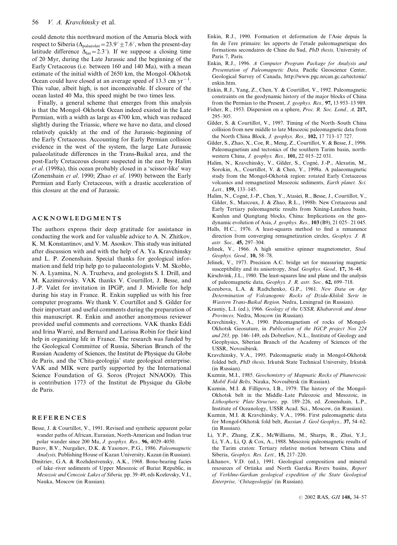could denote this northward motion of the Amuria block with respect to Siberia ( $\Delta_{\text{palaeola}} = 23.9^{\circ} \pm 7.6^{\circ}$ , when the present-day latitude difference  $\Delta_{\text{lat}}=2.3^{\circ}$ ). If we suppose a closing time of 20 Myr, during the Late Jurassic and the beginning of the Early Cretaceous (i.e. between 160 and 140 Ma), with a mean estimate of the initial width of 2650 km, the Mongol–Okhotsk Ocean could have closed at an average speed of 13.3 cm  $yr^{-1}$ . This value, albeit high, is not inconceivable. If closure of the ocean lasted 40 Ma, this speed might be two times less.

Finally, a general scheme that emerges from this analysis is that the Mongol–Okhotsk Ocean indeed existed in the Late Permian, with a width as large as 4700 km, which was reduced slightly during the Triassic, where we have no data, and closed relatively quickly at the end of the Jurassic–beginning of the Early Cretaceous. Accounting for Early Permian collision evidence in the west of the system, the large Late Jurassic palaeolatitude differences in the Trans-Baikal area, and the post-Early Cretaceous closure suspected in the east by Halim et al. (1998a), this ocean probably closed in a 'scissor-like' way (Zonenshain et al. 1990; Zhao et al. 1990) between the Early Permian and Early Cretaceous, with a drastic acceleration of this closure at the end of Jurassic.

## ACKNOWLEDGMENTS

The authors express their deep gratitude for assistance in conducting the work and for valuable advice to A. N. Zhitkov, K. M. Konstantinov, and V. M. Asoskov. This study was initiated after discussion with and with the help of A. Ya. Kravchinsky and L. P. Zonenshain. Special thanks for geological information and field trip help go to palaeontologists V. M. Skoblo, N. A. Lyamina, N. A. Truzheva, and geologists S. I. Drill, and M. Kazimirovsky. VAK thanks V. Courtillot, J. Besse, and J.-P. Valet for invitation in IPGP, and J. Mivielle for help during his stay in France. R. Enkin supplied us with his free computer programs. We thank V. Courtillot and S. Gilder for their important and useful comments during the preparation of this manuscript. R. Enkin and another anonymous reviewer provided useful comments and corrections. VAK thanks Eddi and Irina Warré, and Bernard and Larissa Robin for their kind help in organizing life in France. The research was funded by the Geological Committee of Russia, Siberian Branch of the Russian Academy of Sciences, the Institut de Physique du Globe de Paris, and the 'Chita-geologija' state geological enterprise. VAK and MIK were partly supported by the International Science Foundation of G. Soros (Project NNAOO). This is contribution 1773 of the Institut de Physique du Globe de Paris.

## **REFERENCES**

- Besse, J. & Courtillot, V., 1991. Revised and synthetic apparent polar wander paths of African, Eurasian, North-American and Indian true polar wander since 200 Ma, J. geophys. Res., 96, 4029–4050.
- Burov, B.V., Nurgaliev, D.K. & Yasonov, P.G., 1986. Paleomagnetic Analysis, Publishing House of Kazan University, Kazan (in Russian).
- Dmitriev, G.A. & Rozhdestvensky, A.K., 1968. Bone-bearing facies of lake–river sediments of Upper Mesozoic of Buriat Republic, in Mesozoic and Cenozoic Lakes of Siberia, pp. 39–49, eds Kozlovsky, V.I., Nauka, Moscow (in Russian).
- Enkin, R.J., 1990. Formation et deformation de l'Asie depuis la fin de l'ere primaire: les apports de l'etude paleomagnetique des formations secondaires de Chine du Sud, PhD thesis, University of Paris 7, Paris.
- Enkin, R.J., 1996. A Computer Program Package for Analysis and Presentation of Paleomagnetic Data, Pacific Geoscience Center, Geological Survey of Canada, http://www.pgc.nrcan.gc.ca/tectonic/ enkin.htm.
- Enkin, R.J., Yang, Z., Chen, Y. & Courtillot, V., 1992. Paleomagnetic constraints on the geodynamic history of the major blocks of China from the Permian to the Present, J. geophys. Res., 97, 13 953–13 989.
- Fisher, R., 1953. Dispersion on a sphere, Proc. R. Soc. Lond., A, 217, 295–305.
- Gilder, S. & Courtillot, V., 1997. Timing of the North–South China collision from new middle to late Mesozoic paleomagnetic data from the North China Block, J. geophys. Res., 102, 17 713–17 727.
- Gilder, S., Zhao, X., Coe, R., Meng, Z., Courtillot, V. & Besse, J., 1996. Paleomagnetism and tectonics of the southern Tarim basin, northwestern China, *J. geophys. Res.*, 101, 22 015–22 031.
- Halim, N., Kravchinsky, V., Gilder, S., Cogné, J.-P., Alexutin, M., Sorokin, A., Courtillot, V. & Chen, Y., 1998a. A palaeomagnetic study from the Mongol-Okhotsk region: rotated Early Cretaceous volcanics and remagnetized Mesozoic sediments, Earth planet. Sci. Lett.  $159.133-145$ .
- Halim, N., Cogné, J.-P., Chen, Y., Atasiei, R., Besse, J., Courtillot, V., Gilder, S., Marcoux, J. & Zhao, R.L., 1998b. New Cretaceous and Early Tertiary paleomagnetic results from Xining-Lanzhou basin, Kunlun and Qiangtang blocks, China: Implications on the geodynamic evolution of Asia, J. geophys. Res., 103 (B9), 21 025– 21 045.
- Halls, H.C., 1976. A least-squares method to find a remanence direction from converging remagnetization circles, Geophys. J. R. astr. Soc., 45, 297–304.
- Jelinek, V., 1966. A high sensitive spinner magnetometer, Stud. Geophys. Geod., 10, 58–78.
- Jelinek, V., 1973. Precision A.C. bridge set for measuring magnetic susceptibility and its anisotropy, Stud. Geophys. Geod., 17, 36–48.
- Kirschvink, J.L., 1980. The least-squares line and plane and the analysis of paleomagnetic data, Geophys. J. R. astr. Soc., 62, 699–718.
- Kozubova, L.A. & Radtchenko, G.P., 1961. New Data on Age Determination of Volcanogenic Rocks of Dzida-Khilok Serie in Wastern Trans-Baikal Region, Nedra, Leningrad (in Russian).
- Krasniy, L.I. (ed.), 1966. Geology of the USSR, Khabarovsk and Amur Provinces, Nedra, Moscow (in Russian).
- Kravchinsky, V.A., 1990. Paleomagnetism of rocks of Mongol-Okhotsk Geosuture, in Publication of the IGCP project Nos 224 and 283, pp. 146–149, eds Dobrefsov, N.L., Institute of Geology and Geophysics, Siberian Branch of the Academy of Sciences of the USSR, Novosibirsk.
- Kravchinsky, V.A., 1995. Paleomagnetic study in Mongol-Okhotsk folded belt, PhD thesis, Irkutsk State Technical University, Irkutsk (in Russian).
- Kuzmin, M.I., 1985. Geochemistry of Magmatic Rocks of Phanerozoic Mobil Fold Belts, Nauka, Novosibirsk (in Russian).
- Kuzmin, M.I. & Fillipova, I.B., 1979. The history of the Mongol-Okhotsk belt in the Middle–Late Paleozoic and Mesozoic, in Lithospheric Plate Structure, pp. 189–226, ed. Zonenshain, L.P., Institute of Oceanology, USSR Acad. Sci., Moscow, (in Russian).
- Kuzmin, M.I. & Kravchinsky, V.A., 1996. First paleomagnetic data for Mongol-Okhotsk fold belt, Russian J. Geol Geophys., 37, 54–62. (in Russian).
- Li, Y.P., Zhang, Z.K., McWilliams, M., Sharps, R., Zhai, Y.J., Li, Y.A., Li, Q. & Cox, A., 1988. Mesozoic paleomagnetic results of the Tarim craton: Tertiary relative motion between China and Siberia, Geophys. Res. Lett., 15, 217–220.
- Likhanov, V.D. (ed.), 1991. Geological composition and mineral resources of Ortinka and North Gareka Rivers basins, Report of Verkhne-Garikan geological expedition of the State Geological Enterprise, 'Chitageologija' (in Russian).